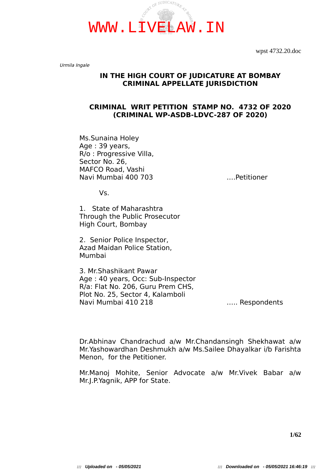

Urmila Ingale

# **IN THE HIGH COURT OF JUDICATURE AT BOMBAY CRIMINAL APPELLATE JURISDICTION**

# **CRIMINAL WRIT PETITION STAMP NO. 4732 OF 2020 (CRIMINAL WP-ASDB-LDVC-287 OF 2020)**

Ms.Sunaina Holey Age : 39 years, R/o : Progressive Villa, Sector No. 26, MAFCO Road, Vashi Navi Mumbai 400 703 ….Petitioner

Vs.

1. State of Maharashtra Through the Public Prosecutor High Court, Bombay

2. Senior Police Inspector, Azad Maidan Police Station, Mumbai

3. Mr.Shashikant Pawar Age : 40 years, Occ: Sub-Inspector R/a: Flat No. 206, Guru Prem CHS, Plot No. 25, Sector 4, Kalamboli Navi Mumbai 410 218 ….. Respondents

Dr.Abhinav Chandrachud a/w Mr.Chandansingh Shekhawat a/w Mr.Yashowardhan Deshmukh a/w Ms.Sailee Dhayalkar i/b Farishta Menon, for the Petitioner.

Mr.Manoj Mohite, Senior Advocate a/w Mr.Vivek Babar a/w Mr.J.P.Yagnik, APP for State.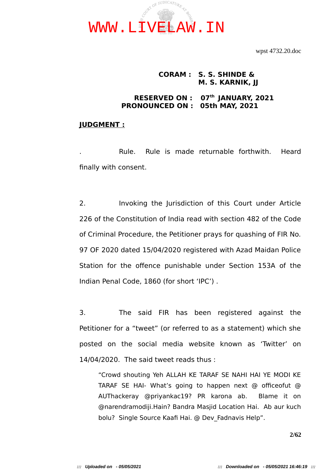

# **CORAM : S. S. SHINDE & M. S. KARNIK, JJ**

# **RESERVED ON : 07th JANUARY, 2021 PRONOUNCED ON : 05th MAY, 2021**

# **JUDGMENT :**

. Rule. Rule is made returnable forthwith. Heard fnally with consent.

2. Invoking the Jurisdiction of this Court under Article 226 of the Constitution of India read with section 482 of the Code of Criminal Procedure, the Petitioner prays for quashing of FIR No. 97 OF 2020 dated 15/04/2020 registered with Azad Maidan Police Station for the offence punishable under Section 153A of the Indian Penal Code, 1860 (for short 'IPC') .

3. The said FIR has been registered against the Petitioner for a "tweet" (or referred to as a statement) which she posted on the social media website known as 'Twitter' on 14/04/2020. The said tweet reads thus :

"Crowd shouting Yeh ALLAH KE TARAF SE NAHI HAI YE MODI KE TARAF SE HAI- What's going to happen next  $\odot$  officeofut  $\odot$ AUThackeray @priyankac19? PR karona ab. Blame it on @narendramodiji.Hain? Bandra Masjid Location Hai. Ab aur kuch bolu? Single Source Kaafi Hai. @ Dev\_Fadnavis Help".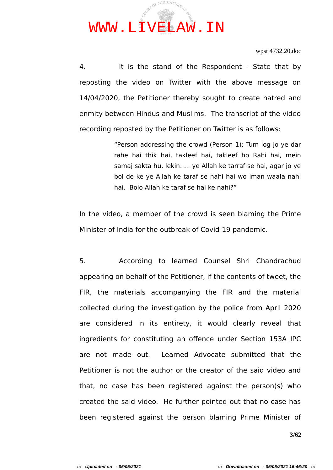

4. It is the stand of the Respondent - State that by reposting the video on Twitter with the above message on 14/04/2020, the Petitioner thereby sought to create hatred and enmity between Hindus and Muslims. The transcript of the video recording reposted by the Petitioner on Twitter is as follows:

> "Person addressing the crowd (Person 1): Tum log jo ye dar rahe hai thik hai, takleef hai, takleef ho Rahi hai, mein samaj sakta hu, lekin….. ye Allah ke tarraf se hai, agar jo ye bol de ke ye Allah ke taraf se nahi hai wo iman waala nahi hai. Bolo Allah ke taraf se hai ke nahi?"

In the video, a member of the crowd is seen blaming the Prime Minister of India for the outbreak of Covid-19 pandemic.

5. According to learned Counsel Shri Chandrachud appearing on behalf of the Petitioner, if the contents of tweet, the FIR, the materials accompanying the FIR and the material collected during the investigation by the police from April 2020 are considered in its entirety, it would clearly reveal that ingredients for constituting an offence under Section 153A IPC are not made out. Learned Advocate submitted that the Petitioner is not the author or the creator of the said video and that, no case has been registered against the person(s) who created the said video. He further pointed out that no case has been registered against the person blaming Prime Minister of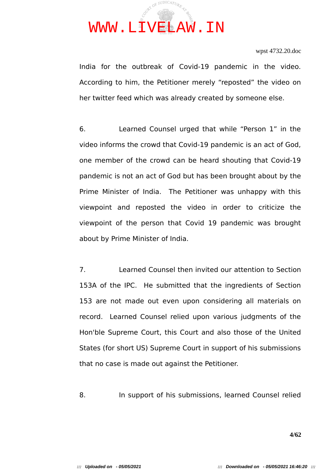

India for the outbreak of Covid-19 pandemic in the video. According to him, the Petitioner merely "reposted" the video on her twitter feed which was already created by someone else.

6. Learned Counsel urged that while "Person 1" in the video informs the crowd that Covid-19 pandemic is an act of God, one member of the crowd can be heard shouting that Covid-19 pandemic is not an act of God but has been brought about by the Prime Minister of India. The Petitioner was unhappy with this viewpoint and reposted the video in order to criticize the viewpoint of the person that Covid 19 pandemic was brought about by Prime Minister of India.

7. Learned Counsel then invited our attention to Section 153A of the IPC. He submitted that the ingredients of Section 153 are not made out even upon considering all materials on record. Learned Counsel relied upon various judgments of the Hon'ble Supreme Court, this Court and also those of the United States (for short US) Supreme Court in support of his submissions that no case is made out against the Petitioner.

8. In support of his submissions, learned Counsel relied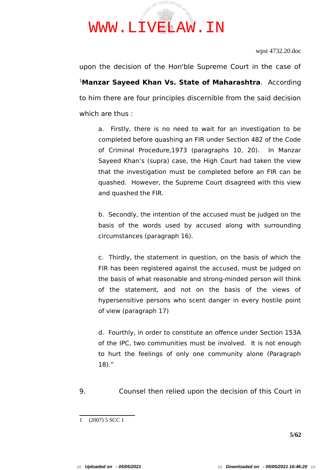

upon the decision of the Hon'ble Supreme Court in the case of <sup>1</sup>**Manzar Sayeed Khan Vs. State of Maharashtra**. According to him there are four principles discernible from the said decision which are thus :

a. Firstly, there is no need to wait for an investigation to be completed before quashing an FIR under Section 482 of the Code of Criminal Procedure,1973 (paragraphs 10, 20). In Manzar Sayeed Khan's (supra) case, the High Court had taken the view that the investigation must be completed before an FIR can be quashed. However, the Supreme Court disagreed with this view and quashed the FIR.

b. Secondly, the intention of the accused must be judged on the basis of the words used by accused along with surrounding circumstances (paragraph 16).

c. Thirdly, the statement in question, on the basis of which the FIR has been registered against the accused, must be judged on the basis of what reasonable and strong-minded person will think of the statement, and not on the basis of the views of hypersensitive persons who scent danger in every hostile point of view (paragraph 17)

d. Fourthly, in order to constitute an ofence under Section 153A of the IPC, two communities must be involved. It is not enough to hurt the feelings of only one community alone (Paragraph 18)."

9. Counsel then relied upon the decision of this Court in

<sup>1</sup> (2007) 5 SCC 1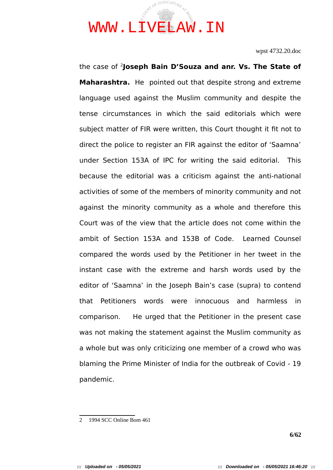

the case of <sup>2</sup> **Joseph Bain D'Souza and anr. Vs. The State of Maharashtra.** He pointed out that despite strong and extreme language used against the Muslim community and despite the tense circumstances in which the said editorials which were subject matter of FIR were written, this Court thought it fit not to direct the police to register an FIR against the editor of 'Saamna' under Section 153A of IPC for writing the said editorial. This because the editorial was a criticism against the anti-national activities of some of the members of minority community and not against the minority community as a whole and therefore this Court was of the view that the article does not come within the ambit of Section 153A and 153B of Code. Learned Counsel compared the words used by the Petitioner in her tweet in the instant case with the extreme and harsh words used by the editor of 'Saamna' in the Joseph Bain's case (supra) to contend that Petitioners words were innocuous and harmless in comparison. He urged that the Petitioner in the present case was not making the statement against the Muslim community as a whole but was only criticizing one member of a crowd who was blaming the Prime Minister of India for the outbreak of Covid - 19 pandemic.

<sup>2</sup> 1994 SCC Online Bom 461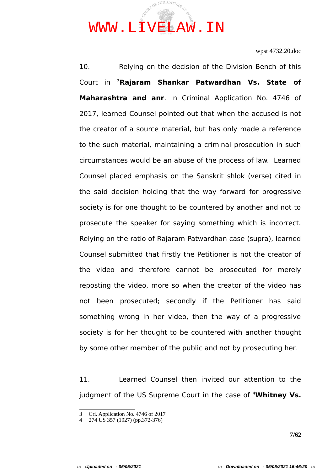

10. Relying on the decision of the Division Bench of this Court in <sup>3</sup>**Rajaram Shankar Patwardhan Vs. State of Maharashtra and anr**. in Criminal Application No. 4746 of 2017, learned Counsel pointed out that when the accused is not the creator of a source material, but has only made a reference to the such material, maintaining a criminal prosecution in such circumstances would be an abuse of the process of law. Learned Counsel placed emphasis on the Sanskrit shlok (verse) cited in the said decision holding that the way forward for progressive society is for one thought to be countered by another and not to prosecute the speaker for saying something which is incorrect. Relying on the ratio of Rajaram Patwardhan case (supra), learned Counsel submitted that frstly the Petitioner is not the creator of the video and therefore cannot be prosecuted for merely reposting the video, more so when the creator of the video has not been prosecuted; secondly if the Petitioner has said something wrong in her video, then the way of a progressive society is for her thought to be countered with another thought by some other member of the public and not by prosecuting her.

11. Learned Counsel then invited our attention to the judgment of the US Supreme Court in the case of <sup>4</sup>**Whitney Vs.**

<sup>3</sup> Cri. Application No. 4746 of 2017

<sup>274</sup> US 357 (1927) (pp.372-376)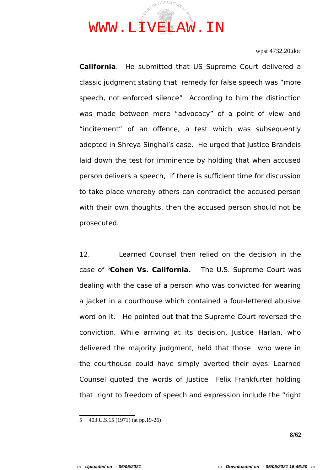# OF JUDICATUR WWW.LIVELAW.IN

### wpst 4732.20.doc

**California**. He submitted that US Supreme Court delivered a classic judgment stating that remedy for false speech was "more speech, not enforced silence" According to him the distinction was made between mere "advocacy" of a point of view and "incitement" of an offence, a test which was subsequently adopted in Shreya Singhal's case. He urged that Justice Brandeis laid down the test for imminence by holding that when accused person delivers a speech, if there is sufficient time for discussion to take place whereby others can contradict the accused person with their own thoughts, then the accused person should not be prosecuted.

12. Learned Counsel then relied on the decision in the case of <sup>5</sup>**Cohen Vs. California.** The U.S. Supreme Court was dealing with the case of a person who was convicted for wearing a jacket in a courthouse which contained a four-lettered abusive word on it. He pointed out that the Supreme Court reversed the conviction. While arriving at its decision, Justice Harlan, who delivered the majority judgment, held that those who were in the courthouse could have simply averted their eyes. Learned Counsel quoted the words of Justice Felix Frankfurter holding that right to freedom of speech and expression include the "right

<sup>5</sup> 403 U.S.15 (1971) (at pp.19-26)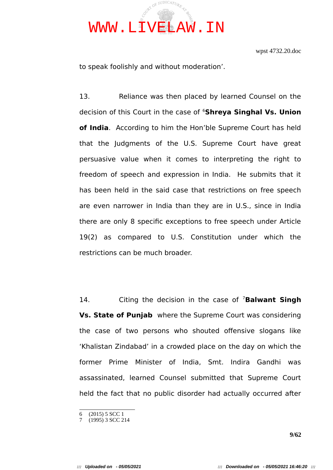

to speak foolishly and without moderation'.

13. Reliance was then placed by learned Counsel on the decision of this Court in the case of <sup>6</sup>**Shreya Singhal Vs. Union of India**. According to him the Hon'ble Supreme Court has held that the Judgments of the U.S. Supreme Court have great persuasive value when it comes to interpreting the right to freedom of speech and expression in India. He submits that it has been held in the said case that restrictions on free speech are even narrower in India than they are in U.S., since in India there are only 8 specifc exceptions to free speech under Article 19(2) as compared to U.S. Constitution under which the restrictions can be much broader.

14. Citing the decision in the case of <sup>7</sup>**Balwant Singh Vs. State of Punjab** where the Supreme Court was considering the case of two persons who shouted offensive slogans like 'Khalistan Zindabad' in a crowded place on the day on which the former Prime Minister of India, Smt. Indira Gandhi was assassinated, learned Counsel submitted that Supreme Court held the fact that no public disorder had actually occurred after

<sup>6</sup> (2015) 5 SCC 1

 $(1995)$  3 SCC 214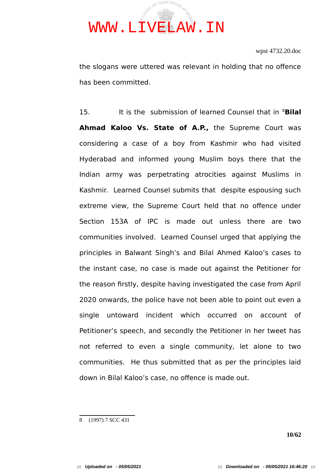

the slogans were uttered was relevant in holding that no ofence has been committed.

15. It is the submission of learned Counsel that in <sup>8</sup>**Bilal Ahmad Kaloo Vs. State of A.P.,** the Supreme Court was considering a case of a boy from Kashmir who had visited Hyderabad and informed young Muslim boys there that the Indian army was perpetrating atrocities against Muslims in Kashmir. Learned Counsel submits that despite espousing such extreme view, the Supreme Court held that no offence under Section 153A of IPC is made out unless there are two communities involved. Learned Counsel urged that applying the principles in Balwant Singh's and Bilal Ahmed Kaloo's cases to the instant case, no case is made out against the Petitioner for the reason frstly, despite having investigated the case from April 2020 onwards, the police have not been able to point out even a single untoward incident which occurred on account of Petitioner's speech, and secondly the Petitioner in her tweet has not referred to even a single community, let alone to two communities. He thus submitted that as per the principles laid down in Bilal Kaloo's case, no ofence is made out.

<sup>8</sup> (1997) 7 SCC 431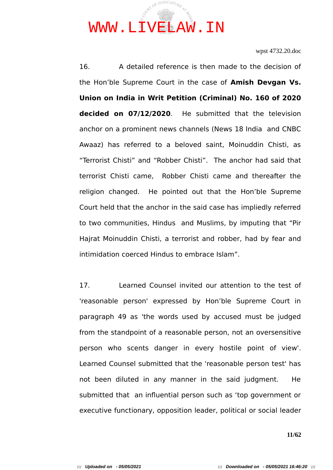

16. A detailed reference is then made to the decision of the Hon'ble Supreme Court in the case of **Amish Devgan Vs. Union on India in Writ Petition (Criminal) No. 160 of 2020 decided on 07/12/2020**. He submitted that the television anchor on a prominent news channels (News 18 India and CNBC Awaaz) has referred to a beloved saint, Moinuddin Chisti, as "Terrorist Chisti" and "Robber Chisti". The anchor had said that terrorist Chisti came, Robber Chisti came and thereafter the religion changed. He pointed out that the Hon'ble Supreme Court held that the anchor in the said case has impliedly referred to two communities, Hindus and Muslims, by imputing that "Pir Hajrat Moinuddin Chisti, a terrorist and robber, had by fear and intimidation coerced Hindus to embrace Islam".

17. Learned Counsel invited our attention to the test of 'reasonable person' expressed by Hon'ble Supreme Court in paragraph 49 as 'the words used by accused must be judged from the standpoint of a reasonable person, not an oversensitive person who scents danger in every hostile point of view'. Learned Counsel submitted that the 'reasonable person test' has not been diluted in any manner in the said judgment. He submitted that an infuential person such as 'top government or executive functionary, opposition leader, political or social leader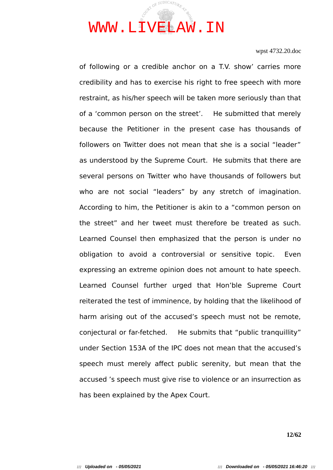

of following or a credible anchor on a T.V. show' carries more credibility and has to exercise his right to free speech with more restraint, as his/her speech will be taken more seriously than that of a 'common person on the street'. He submitted that merely because the Petitioner in the present case has thousands of followers on Twitter does not mean that she is a social "leader" as understood by the Supreme Court. He submits that there are several persons on Twitter who have thousands of followers but who are not social "leaders" by any stretch of imagination. According to him, the Petitioner is akin to a "common person on the street" and her tweet must therefore be treated as such. Learned Counsel then emphasized that the person is under no obligation to avoid a controversial or sensitive topic. Even expressing an extreme opinion does not amount to hate speech. Learned Counsel further urged that Hon'ble Supreme Court reiterated the test of imminence, by holding that the likelihood of harm arising out of the accused's speech must not be remote, conjectural or far-fetched. He submits that "public tranquillity" under Section 153A of the IPC does not mean that the accused's speech must merely affect public serenity, but mean that the accused 's speech must give rise to violence or an insurrection as has been explained by the Apex Court.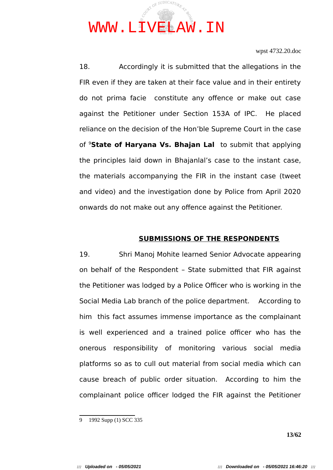

18. Accordingly it is submitted that the allegations in the FIR even if they are taken at their face value and in their entirety do not prima facie constitute any ofence or make out case against the Petitioner under Section 153A of IPC. He placed reliance on the decision of the Hon'ble Supreme Court in the case of <sup>9</sup>**State of Haryana Vs. Bhajan Lal** to submit that applying the principles laid down in Bhajanlal's case to the instant case, the materials accompanying the FIR in the instant case (tweet and video) and the investigation done by Police from April 2020 onwards do not make out any ofence against the Petitioner.

# **SUBMISSIONS OF THE RESPONDENTS**

19. Shri Manoj Mohite learned Senior Advocate appearing on behalf of the Respondent – State submitted that FIR against the Petitioner was lodged by a Police Officer who is working in the Social Media Lab branch of the police department. According to him this fact assumes immense importance as the complainant is well experienced and a trained police officer who has the onerous responsibility of monitoring various social media platforms so as to cull out material from social media which can cause breach of public order situation. According to him the complainant police officer lodged the FIR against the Petitioner

<sup>9</sup> 1992 Supp (1) SCC 335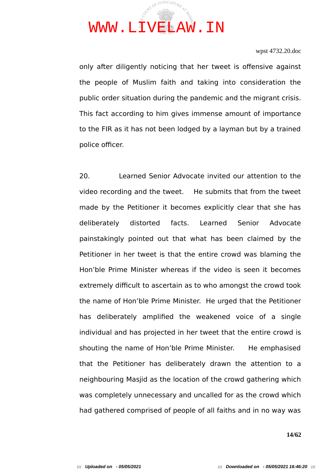

only after diligently noticing that her tweet is offensive against the people of Muslim faith and taking into consideration the public order situation during the pandemic and the migrant crisis. This fact according to him gives immense amount of importance to the FIR as it has not been lodged by a layman but by a trained police officer.

20. Learned Senior Advocate invited our attention to the video recording and the tweet. He submits that from the tweet made by the Petitioner it becomes explicitly clear that she has deliberately distorted facts. Learned Senior Advocate painstakingly pointed out that what has been claimed by the Petitioner in her tweet is that the entire crowd was blaming the Hon'ble Prime Minister whereas if the video is seen it becomes extremely difficult to ascertain as to who amongst the crowd took the name of Hon'ble Prime Minister. He urged that the Petitioner has deliberately amplifed the weakened voice of a single individual and has projected in her tweet that the entire crowd is shouting the name of Hon'ble Prime Minister. He emphasised that the Petitioner has deliberately drawn the attention to a neighbouring Masjid as the location of the crowd gathering which was completely unnecessary and uncalled for as the crowd which had gathered comprised of people of all faiths and in no way was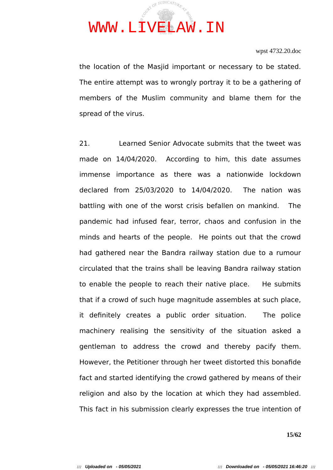

the location of the Masjid important or necessary to be stated. The entire attempt was to wrongly portray it to be a gathering of members of the Muslim community and blame them for the spread of the virus.

21. Learned Senior Advocate submits that the tweet was made on 14/04/2020. According to him, this date assumes immense importance as there was a nationwide lockdown declared from 25/03/2020 to 14/04/2020. The nation was battling with one of the worst crisis befallen on mankind. The pandemic had infused fear, terror, chaos and confusion in the minds and hearts of the people. He points out that the crowd had gathered near the Bandra railway station due to a rumour circulated that the trains shall be leaving Bandra railway station to enable the people to reach their native place. He submits that if a crowd of such huge magnitude assembles at such place, it defnitely creates a public order situation. The police machinery realising the sensitivity of the situation asked a gentleman to address the crowd and thereby pacify them. However, the Petitioner through her tweet distorted this bonafde fact and started identifying the crowd gathered by means of their religion and also by the location at which they had assembled. This fact in his submission clearly expresses the true intention of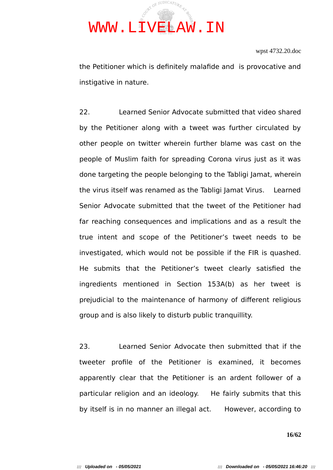

the Petitioner which is defnitely malafde and is provocative and instigative in nature.

22. Learned Senior Advocate submitted that video shared by the Petitioner along with a tweet was further circulated by other people on twitter wherein further blame was cast on the people of Muslim faith for spreading Corona virus just as it was done targeting the people belonging to the Tabligi Jamat, wherein the virus itself was renamed as the Tabligi Jamat Virus. Learned Senior Advocate submitted that the tweet of the Petitioner had far reaching consequences and implications and as a result the true intent and scope of the Petitioner's tweet needs to be investigated, which would not be possible if the FIR is quashed. He submits that the Petitioner's tweet clearly satisfed the ingredients mentioned in Section 153A(b) as her tweet is prejudicial to the maintenance of harmony of diferent religious group and is also likely to disturb public tranquillity.

23. Learned Senior Advocate then submitted that if the tweeter profle of the Petitioner is examined, it becomes apparently clear that the Petitioner is an ardent follower of a particular religion and an ideology. He fairly submits that this by itself is in no manner an illegal act. However, according to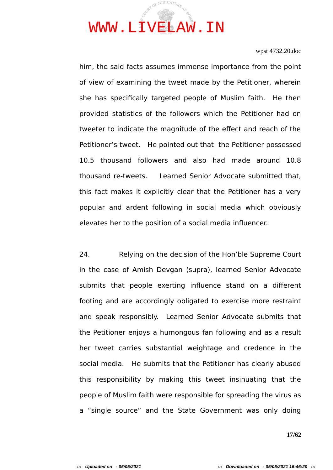

him, the said facts assumes immense importance from the point of view of examining the tweet made by the Petitioner, wherein she has specifcally targeted people of Muslim faith. He then provided statistics of the followers which the Petitioner had on tweeter to indicate the magnitude of the efect and reach of the Petitioner's tweet. He pointed out that the Petitioner possessed 10.5 thousand followers and also had made around 10.8 thousand re-tweets. Learned Senior Advocate submitted that, this fact makes it explicitly clear that the Petitioner has a very popular and ardent following in social media which obviously elevates her to the position of a social media infuencer.

24. Relying on the decision of the Hon'ble Supreme Court in the case of Amish Devgan (supra), learned Senior Advocate submits that people exerting infuence stand on a diferent footing and are accordingly obligated to exercise more restraint and speak responsibly. Learned Senior Advocate submits that the Petitioner enjoys a humongous fan following and as a result her tweet carries substantial weightage and credence in the social media. He submits that the Petitioner has clearly abused this responsibility by making this tweet insinuating that the people of Muslim faith were responsible for spreading the virus as a "single source" and the State Government was only doing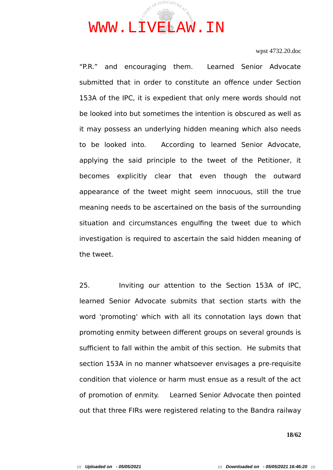

"P.R." and encouraging them. Learned Senior Advocate submitted that in order to constitute an offence under Section 153A of the IPC, it is expedient that only mere words should not be looked into but sometimes the intention is obscured as well as it may possess an underlying hidden meaning which also needs to be looked into. According to learned Senior Advocate, applying the said principle to the tweet of the Petitioner, it becomes explicitly clear that even though the outward appearance of the tweet might seem innocuous, still the true meaning needs to be ascertained on the basis of the surrounding situation and circumstances engulfing the tweet due to which investigation is required to ascertain the said hidden meaning of the tweet.

25. Inviting our attention to the Section 153A of IPC, learned Senior Advocate submits that section starts with the word 'promoting' which with all its connotation lays down that promoting enmity between diferent groups on several grounds is sufficient to fall within the ambit of this section. He submits that section 153A in no manner whatsoever envisages a pre-requisite condition that violence or harm must ensue as a result of the act of promotion of enmity. Learned Senior Advocate then pointed out that three FIRs were registered relating to the Bandra railway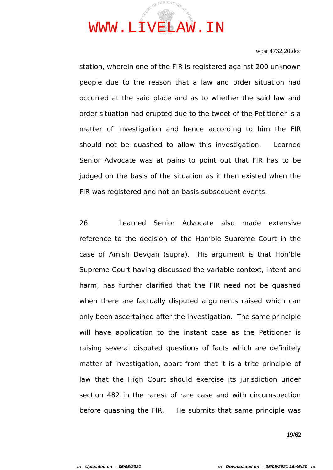

station, wherein one of the FIR is registered against 200 unknown people due to the reason that a law and order situation had occurred at the said place and as to whether the said law and order situation had erupted due to the tweet of the Petitioner is a matter of investigation and hence according to him the FIR should not be quashed to allow this investigation. Learned Senior Advocate was at pains to point out that FIR has to be judged on the basis of the situation as it then existed when the FIR was registered and not on basis subsequent events.

26. Learned Senior Advocate also made extensive reference to the decision of the Hon'ble Supreme Court in the case of Amish Devgan (supra). His argument is that Hon'ble Supreme Court having discussed the variable context, intent and harm, has further clarifed that the FIR need not be quashed when there are factually disputed arguments raised which can only been ascertained after the investigation. The same principle will have application to the instant case as the Petitioner is raising several disputed questions of facts which are defnitely matter of investigation, apart from that it is a trite principle of law that the High Court should exercise its jurisdiction under section 482 in the rarest of rare case and with circumspection before quashing the FIR. He submits that same principle was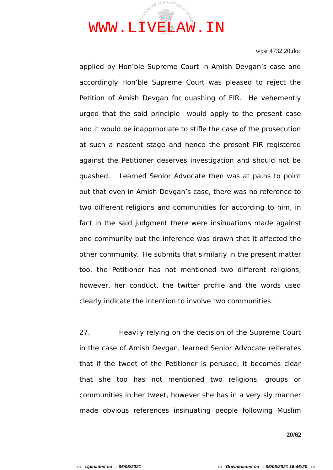

applied by Hon'ble Supreme Court in Amish Devgan's case and accordingly Hon'ble Supreme Court was pleased to reject the Petition of Amish Devgan for quashing of FIR. He vehemently urged that the said principle would apply to the present case and it would be inappropriate to stife the case of the prosecution at such a nascent stage and hence the present FIR registered against the Petitioner deserves investigation and should not be quashed. Learned Senior Advocate then was at pains to point out that even in Amish Devgan's case, there was no reference to two diferent religions and communities for according to him, in fact in the said judgment there were insinuations made against one community but the inference was drawn that it afected the other community. He submits that similarly in the present matter too, the Petitioner has not mentioned two diferent religions, however, her conduct, the twitter profle and the words used clearly indicate the intention to involve two communities.

27. Heavily relying on the decision of the Supreme Court in the case of Amish Devgan, learned Senior Advocate reiterates that if the tweet of the Petitioner is perused, it becomes clear that she too has not mentioned two religions, groups or communities in her tweet, however she has in a very sly manner made obvious references insinuating people following Muslim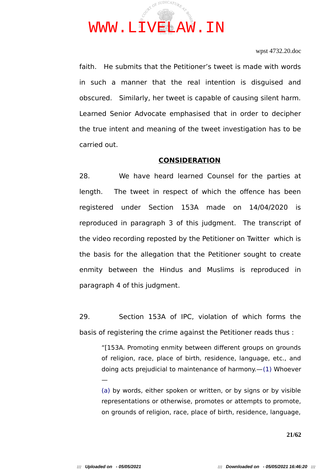

faith. He submits that the Petitioner's tweet is made with words in such a manner that the real intention is disguised and obscured. Similarly, her tweet is capable of causing silent harm. Learned Senior Advocate emphasised that in order to decipher the true intent and meaning of the tweet investigation has to be carried out.

# **CONSIDERATION**

28. We have heard learned Counsel for the parties at length. The tweet in respect of which the offence has been registered under Section 153A made on 14/04/2020 is reproduced in paragraph 3 of this judgment. The transcript of the video recording reposted by the Petitioner on Twitter which is the basis for the allegation that the Petitioner sought to create enmity between the Hindus and Muslims is reproduced in paragraph 4 of this judgment.

29. Section 153A of IPC, violation of which forms the basis of registering the crime against the Petitioner reads thus :

"[153A. Promoting enmity between diferent groups on grounds of religion, race, place of birth, residence, language, etc., and doing acts prejudicial to maintenance of harmony.—(1) Whoever

(a) by words, either spoken or written, or by signs or by visible representations or otherwise, promotes or attempts to promote, on grounds of religion, race, place of birth, residence, language,

**21/62**

—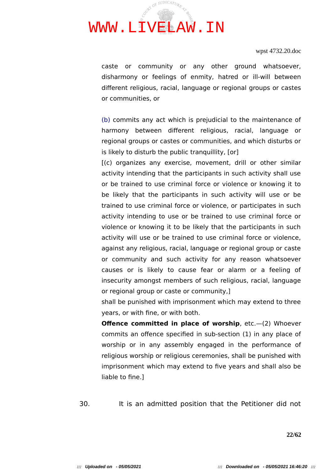

caste or community or any other ground whatsoever, disharmony or feelings of enmity, hatred or ill-will between diferent religious, racial, language or regional groups or castes or communities, or

(b) commits any act which is prejudicial to the maintenance of harmony between diferent religious, racial, language or regional groups or castes or communities, and which disturbs or is likely to disturb the public tranquillity, [or]

[(c) organizes any exercise, movement, drill or other similar activity intending that the participants in such activity shall use or be trained to use criminal force or violence or knowing it to be likely that the participants in such activity will use or be trained to use criminal force or violence, or participates in such activity intending to use or be trained to use criminal force or violence or knowing it to be likely that the participants in such activity will use or be trained to use criminal force or violence, against any religious, racial, language or regional group or caste or community and such activity for any reason whatsoever causes or is likely to cause fear or alarm or a feeling of insecurity amongst members of such religious, racial, language or regional group or caste or community,]

shall be punished with imprisonment which may extend to three years, or with fine, or with both.

**Offence committed in place of worship**, etc.-(2) Whoever commits an offence specified in sub-section (1) in any place of worship or in any assembly engaged in the performance of religious worship or religious ceremonies, shall be punished with imprisonment which may extend to five years and shall also be liable to fine.1

30. It is an admitted position that the Petitioner did not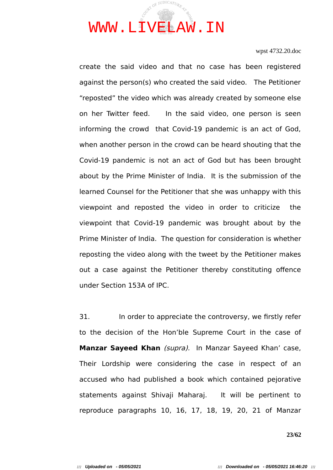# OF JUDICATUR WWW.LIVELAW.IN

### wpst 4732.20.doc

create the said video and that no case has been registered against the person(s) who created the said video. The Petitioner "reposted" the video which was already created by someone else on her Twitter feed. In the said video, one person is seen informing the crowd that Covid-19 pandemic is an act of God, when another person in the crowd can be heard shouting that the Covid-19 pandemic is not an act of God but has been brought about by the Prime Minister of India. It is the submission of the learned Counsel for the Petitioner that she was unhappy with this viewpoint and reposted the video in order to criticize the viewpoint that Covid-19 pandemic was brought about by the Prime Minister of India. The question for consideration is whether reposting the video along with the tweet by the Petitioner makes out a case against the Petitioner thereby constituting offence under Section 153A of IPC.

31. In order to appreciate the controversy, we frstly refer to the decision of the Hon'ble Supreme Court in the case of **Manzar Sayeed Khan** (supra). In Manzar Sayeed Khan' case, Their Lordship were considering the case in respect of an accused who had published a book which contained pejorative statements against Shivaji Maharaj. It will be pertinent to reproduce paragraphs 10, 16, 17, 18, 19, 20, 21 of Manzar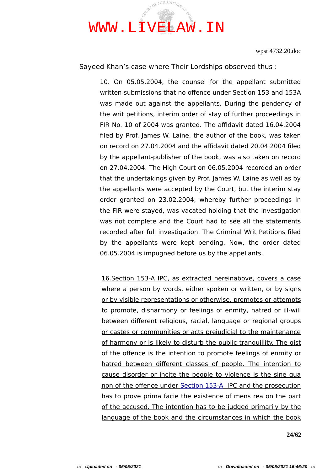

Sayeed Khan's case where Their Lordships observed thus :

10. On 05.05.2004, the counsel for the appellant submitted written submissions that no ofence under Section 153 and 153A was made out against the appellants. During the pendency of the writ petitions, interim order of stay of further proceedings in FIR No. 10 of 2004 was granted. The affidavit dated 16.04.2004 fled by Prof. James W. Laine, the author of the book, was taken on record on 27.04.2004 and the affidavit dated 20.04.2004 filed by the appellant-publisher of the book, was also taken on record on 27.04.2004. The High Court on 06.05.2004 recorded an order that the undertakings given by Prof. James W. Laine as well as by the appellants were accepted by the Court, but the interim stay order granted on 23.02.2004, whereby further proceedings in the FIR were stayed, was vacated holding that the investigation was not complete and the Court had to see all the statements recorded after full investigation. The Criminal Writ Petitions fled by the appellants were kept pending. Now, the order dated 06.05.2004 is impugned before us by the appellants.

16.Section 153-A IPC, as extracted hereinabove, covers a case where a person by words, either spoken or written, or by signs or by visible representations or otherwise, promotes or attempts to promote, disharmony or feelings of enmity, hatred or ill-will between diferent religious, racial, language or regional groups or castes or communities or acts prejudicial to the maintenance of harmony or is likely to disturb the public tranquillity. The gist of the offence is the intention to promote feelings of enmity or hatred between diferent classes of people. The intention to cause disorder or incite the people to violence is the sine qua non of the offence under Section 153-A IPC and the prosecution has to prove prima facie the existence of mens rea on the part of the accused. The intention has to be judged primarily by the language of the book and the circumstances in which the book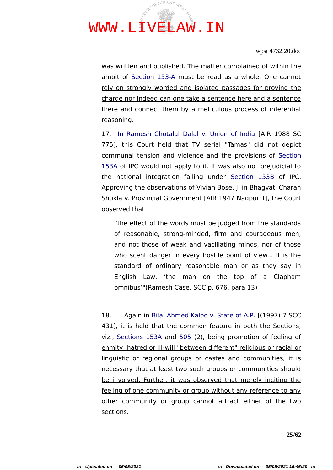

was written and published. The matter complained of within the ambit of Section 153-A must be read as a whole. One cannot rely on strongly worded and isolated passages for proving the charge nor indeed can one take a sentence here and a sentence there and connect them by a meticulous process of inferential reasoning.

17. In Ramesh Chotalal Dalal v. Union of India [AIR 1988 SC 775], this Court held that TV serial "Tamas" did not depict communal tension and violence and the provisions of Section 153A of IPC would not apply to it. It was also not prejudicial to the national integration falling under Section 153B of IPC. Approving the observations of Vivian Bose, J. in Bhagvati Charan Shukla v. Provincial Government [AIR 1947 Nagpur 1], the Court observed that

"the effect of the words must be judged from the standards of reasonable, strong-minded, frm and courageous men, and not those of weak and vacillating minds, nor of those who scent danger in every hostile point of view... It is the standard of ordinary reasonable man or as they say in English Law, 'the man on the top of a Clapham omnibus'"(Ramesh Case, SCC p. 676, para 13)

18. Again in Bilal Ahmed Kaloo v. State of A.P. [(1997) 7 SCC 431], it is held that the common feature in both the Sections, viz., Sections 153A and 505 (2), being promotion of feeling of enmity, hatred or ill-will "between diferent" religious or racial or linguistic or regional groups or castes and communities, it is necessary that at least two such groups or communities should be involved. Further, it was observed that merely inciting the feeling of one community or group without any reference to any other community or group cannot attract either of the two sections.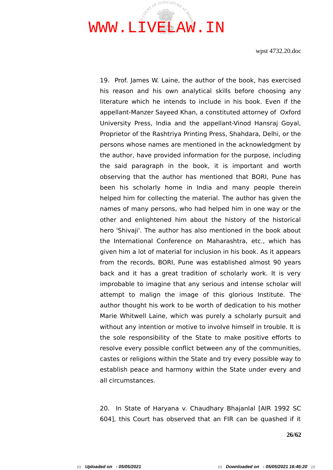

19. Prof. James W. Laine, the author of the book, has exercised his reason and his own analytical skills before choosing any literature which he intends to include in his book. Even if the appellant-Manzer Sayeed Khan, a constituted attorney of Oxford University Press, India and the appellant-Vinod Hansraj Goyal, Proprietor of the Rashtriya Printing Press, Shahdara, Delhi, or the persons whose names are mentioned in the acknowledgment by the author, have provided information for the purpose, including the said paragraph in the book, it is important and worth observing that the author has mentioned that BORI, Pune has been his scholarly home in India and many people therein helped him for collecting the material. The author has given the names of many persons, who had helped him in one way or the other and enlightened him about the history of the historical hero 'Shivaji'. The author has also mentioned in the book about the International Conference on Maharashtra, etc., which has given him a lot of material for inclusion in his book. As it appears from the records, BORI, Pune was established almost 90 years back and it has a great tradition of scholarly work. It is very improbable to imagine that any serious and intense scholar will attempt to malign the image of this glorious Institute. The author thought his work to be worth of dedication to his mother Marie Whitwell Laine, which was purely a scholarly pursuit and without any intention or motive to involve himself in trouble. It is the sole responsibility of the State to make positive eforts to resolve every possible confict between any of the communities, castes or religions within the State and try every possible way to establish peace and harmony within the State under every and all circumstances.

20. In State of Haryana v. Chaudhary Bhajanlal [AIR 1992 SC 604], this Court has observed that an FIR can be quashed if it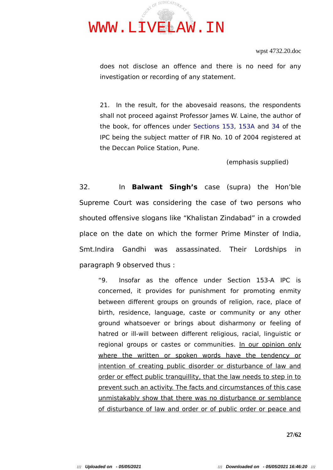

does not disclose an offence and there is no need for any investigation or recording of any statement.

21. In the result, for the abovesaid reasons, the respondents shall not proceed against Professor James W. Laine, the author of the book, for ofences under Sections 153, 153A and 34 of the IPC being the subject matter of FIR No. 10 of 2004 registered at the Deccan Police Station, Pune.

(emphasis supplied)

32. In **Balwant Singh's** case (supra) the Hon'ble Supreme Court was considering the case of two persons who shouted offensive slogans like "Khalistan Zindabad" in a crowded place on the date on which the former Prime Minster of India, Smt.Indira Gandhi was assassinated. Their Lordships in paragraph 9 observed thus :

"9. Insofar as the ofence under Section 153-A IPC is concerned, it provides for punishment for promoting enmity between diferent groups on grounds of religion, race, place of birth, residence, language, caste or community or any other ground whatsoever or brings about disharmony or feeling of hatred or ill-will between diferent religious, racial, linguistic or regional groups or castes or communities. In our opinion only where the written or spoken words have the tendency or intention of creating public disorder or disturbance of law and order or efect public tranquillity, that the law needs to step in to prevent such an activity. The facts and circumstances of this case unmistakably show that there was no disturbance or semblance of disturbance of law and order or of public order or peace and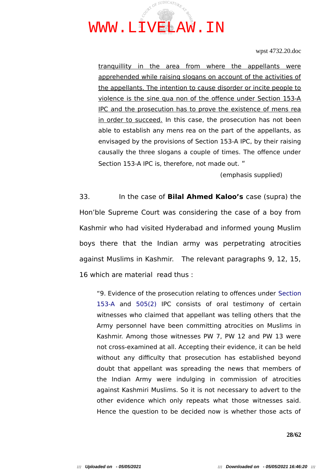

tranquillity in the area from where the appellants were apprehended while raising slogans on account of the activities of the appellants. The intention to cause disorder or incite people to violence is the sine qua non of the offence under Section 153-A IPC and the prosecution has to prove the existence of mens rea in order to succeed. In this case, the prosecution has not been able to establish any mens rea on the part of the appellants, as envisaged by the provisions of Section 153-A IPC, by their raising causally the three slogans a couple of times. The ofence under Section 153-A IPC is, therefore, not made out. "

(emphasis supplied)

33. In the case of **Bilal Ahmed Kaloo's** case (supra) the Hon'ble Supreme Court was considering the case of a boy from Kashmir who had visited Hyderabad and informed young Muslim boys there that the Indian army was perpetrating atrocities against Muslims in Kashmir. The relevant paragraphs 9, 12, 15, 16 which are material read thus :

"9. Evidence of the prosecution relating to ofences under Section 153-A and 505(2) IPC consists of oral testimony of certain witnesses who claimed that appellant was telling others that the Army personnel have been committing atrocities on Muslims in Kashmir. Among those witnesses PW 7, PW 12 and PW 13 were not cross-examined at all. Accepting their evidence, it can be held without any difficulty that prosecution has established beyond doubt that appellant was spreading the news that members of the Indian Army were indulging in commission of atrocities against Kashmiri Muslims. So it is not necessary to advert to the other evidence which only repeats what those witnesses said. Hence the question to be decided now is whether those acts of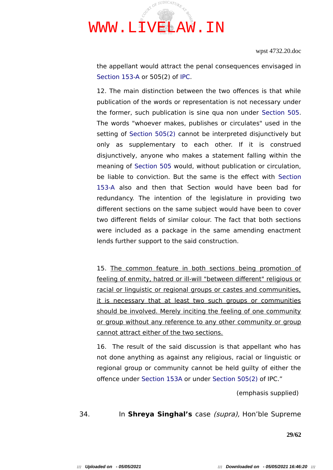

the appellant would attract the penal consequences envisaged in Section 153-A or 505(2) of IPC.

12. The main distinction between the two ofences is that while publication of the words or representation is not necessary under the former, such publication is sine qua non under Section 505. The words "whoever makes, publishes or circulates" used in the setting of Section 505(2) cannot be interpreted disjunctively but only as supplementary to each other. If it is construed disjunctively, anyone who makes a statement falling within the meaning of Section 505 would, without publication or circulation, be liable to conviction. But the same is the efect with Section 153-A also and then that Section would have been bad for redundancy. The intention of the legislature in providing two diferent sections on the same subject would have been to cover two diferent felds of similar colour. The fact that both sections were included as a package in the same amending enactment lends further support to the said construction.

15. The common feature in both sections being promotion of feeling of enmity, hatred or ill-will "between diferent" religious or racial or linguistic or regional groups or castes and communities, it is necessary that at least two such groups or communities should be involved. Merely inciting the feeling of one community or group without any reference to any other community or group cannot attract either of the two sections.

16. The result of the said discussion is that appellant who has not done anything as against any religious, racial or linguistic or regional group or community cannot be held guilty of either the ofence under Section 153A or under Section 505(2) of IPC."

(emphasis supplied)

34. In **Shreya Singhal's** case (supra), Hon'ble Supreme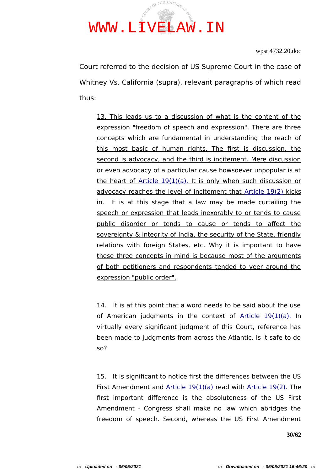

Court referred to the decision of US Supreme Court in the case of Whitney Vs. California (supra), relevant paragraphs of which read thus:

13. This leads us to a discussion of what is the content of the expression "freedom of speech and expression". There are three concepts which are fundamental in understanding the reach of this most basic of human rights. The first is discussion, the second is advocacy, and the third is incitement. Mere discussion or even advocacy of a particular cause howsoever unpopular is at the heart of Article 19(1)(a). It is only when such discussion or advocacy reaches the level of incitement that Article 19(2) kicks in. It is at this stage that a law may be made curtailing the speech or expression that leads inexorably to or tends to cause public disorder or tends to cause or tends to afect the sovereignty & integrity of India, the security of the State, friendly relations with foreign States, etc. Why it is important to have these three concepts in mind is because most of the arguments of both petitioners and respondents tended to veer around the expression "public order".

14. It is at this point that a word needs to be said about the use of American judgments in the context of Article 19(1)(a). In virtually every signifcant judgment of this Court, reference has been made to judgments from across the Atlantic. Is it safe to do so?

15. It is signifcant to notice frst the diferences between the US First Amendment and Article 19(1)(a) read with Article 19(2). The frst important diference is the absoluteness of the US First Amendment - Congress shall make no law which abridges the freedom of speech. Second, whereas the US First Amendment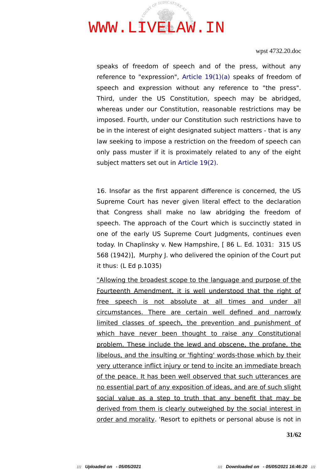

speaks of freedom of speech and of the press, without any reference to "expression", Article 19(1)(a) speaks of freedom of speech and expression without any reference to "the press". Third, under the US Constitution, speech may be abridged, whereas under our Constitution, reasonable restrictions may be imposed. Fourth, under our Constitution such restrictions have to be in the interest of eight designated subject matters - that is any law seeking to impose a restriction on the freedom of speech can only pass muster if it is proximately related to any of the eight subject matters set out in Article 19(2).

16. Insofar as the frst apparent diference is concerned, the US Supreme Court has never given literal effect to the declaration that Congress shall make no law abridging the freedom of speech. The approach of the Court which is succinctly stated in one of the early US Supreme Court Judgments, continues even today. In Chaplinsky v. New Hampshire, [ 86 L. Ed. 1031: 315 US 568 (1942)], Murphy J. who delivered the opinion of the Court put it thus: (L Ed p.1035)

"Allowing the broadest scope to the language and purpose of the Fourteenth Amendment, it is well understood that the right of free speech is not absolute at all times and under all circumstances. There are certain well defned and narrowly limited classes of speech, the prevention and punishment of which have never been thought to raise any Constitutional problem. These include the lewd and obscene, the profane, the libelous, and the insulting or 'fghting' words-those which by their very utterance infict injury or tend to incite an immediate breach of the peace. It has been well observed that such utterances are no essential part of any exposition of ideas, and are of such slight social value as a step to truth that any benefit that may be derived from them is clearly outweighed by the social interest in order and morality. 'Resort to epithets or personal abuse is not in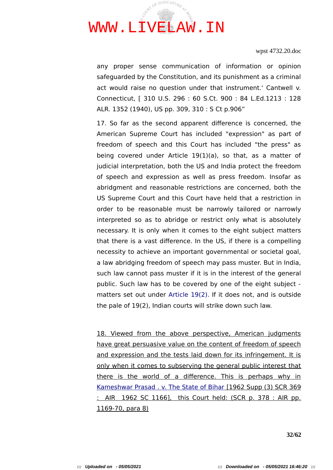

any proper sense communication of information or opinion safeguarded by the Constitution, and its punishment as a criminal act would raise no question under that instrument.' Cantwell v. Connecticut, [ 310 U.S. 296 : 60 S.Ct. 900 : 84 L.Ed.1213 : 128 ALR. 1352 (1940), US pp. 309, 310 : S Ct p.906"

17. So far as the second apparent diference is concerned, the American Supreme Court has included "expression" as part of freedom of speech and this Court has included "the press" as being covered under Article 19(1)(a), so that, as a matter of judicial interpretation, both the US and India protect the freedom of speech and expression as well as press freedom. Insofar as abridgment and reasonable restrictions are concerned, both the US Supreme Court and this Court have held that a restriction in order to be reasonable must be narrowly tailored or narrowly interpreted so as to abridge or restrict only what is absolutely necessary. It is only when it comes to the eight subject matters that there is a vast diference. In the US, if there is a compelling necessity to achieve an important governmental or societal goal, a law abridging freedom of speech may pass muster. But in India, such law cannot pass muster if it is in the interest of the general public. Such law has to be covered by one of the eight subject matters set out under Article 19(2). If it does not, and is outside the pale of 19(2), Indian courts will strike down such law.

18. Viewed from the above perspective, American judgments have great persuasive value on the content of freedom of speech and expression and the tests laid down for its infringement. It is only when it comes to subserving the general public interest that there is the world of a diference. This is perhaps why in Kameshwar Prasad . v. The State of Bihar [1962 Supp (3) SCR 369 : AIR 1962 SC 1166], this Court held: (SCR p. 378 : AIR pp. 1169-70, para 8)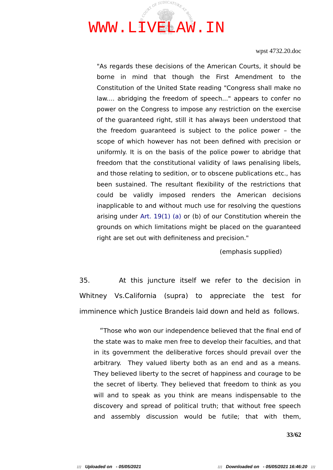

"As regards these decisions of the American Courts, it should be borne in mind that though the First Amendment to the Constitution of the United State reading "Congress shall make no law.... abridging the freedom of speech..." appears to confer no power on the Congress to impose any restriction on the exercise of the guaranteed right, still it has always been understood that the freedom guaranteed is subject to the police power – the scope of which however has not been defned with precision or uniformly. It is on the basis of the police power to abridge that freedom that the constitutional validity of laws penalising libels, and those relating to sedition, or to obscene publications etc., has been sustained. The resultant fexibility of the restrictions that could be validly imposed renders the American decisions inapplicable to and without much use for resolving the questions arising under Art. 19(1) (a) or (b) of our Constitution wherein the grounds on which limitations might be placed on the guaranteed right are set out with defniteness and precision."

(emphasis supplied)

35. At this juncture itself we refer to the decision in Whitney Vs.California (supra) to appreciate the test for imminence which Justice Brandeis laid down and held as follows.

"Those who won our independence believed that the fnal end of the state was to make men free to develop their faculties, and that in its government the deliberative forces should prevail over the arbitrary. They valued liberty both as an end and as a means. They believed liberty to the secret of happiness and courage to be the secret of liberty. They believed that freedom to think as you will and to speak as you think are means indispensable to the discovery and spread of political truth; that without free speech and assembly discussion would be futile; that with them,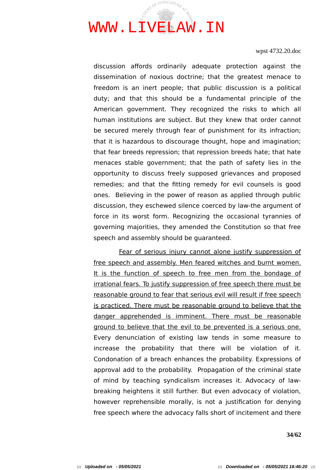

discussion affords ordinarily adequate protection against the dissemination of noxious doctrine; that the greatest menace to freedom is an inert people; that public discussion is a political duty; and that this should be a fundamental principle of the American government. They recognized the risks to which all human institutions are subject. But they knew that order cannot be secured merely through fear of punishment for its infraction; that it is hazardous to discourage thought, hope and imagination; that fear breeds repression; that repression breeds hate; that hate menaces stable government; that the path of safety lies in the opportunity to discuss freely supposed grievances and proposed remedies; and that the ftting remedy for evil counsels is good ones. Believing in the power of reason as applied through public discussion, they eschewed silence coerced by law-the argument of force in its worst form. Recognizing the occasional tyrannies of governing majorities, they amended the Constitution so that free speech and assembly should be guaranteed.

Fear of serious injury cannot alone justify suppression of free speech and assembly. Men feared witches and burnt women. It is the function of speech to free men from the bondage of irrational fears. To justify suppression of free speech there must be reasonable ground to fear that serious evil will result if free speech is practiced. There must be reasonable ground to believe that the danger apprehended is imminent. There must be reasonable ground to believe that the evil to be prevented is a serious one. Every denunciation of existing law tends in some measure to increase the probability that there will be violation of it. Condonation of a breach enhances the probability. Expressions of approval add to the probability. Propagation of the criminal state of mind by teaching syndicalism increases it. Advocacy of lawbreaking heightens it still further. But even advocacy of violation, however reprehensible morally, is not a justifcation for denying free speech where the advocacy falls short of incitement and there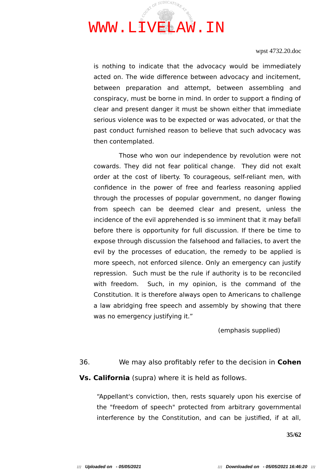

is nothing to indicate that the advocacy would be immediately acted on. The wide diference between advocacy and incitement, between preparation and attempt, between assembling and conspiracy, must be borne in mind. In order to support a fnding of clear and present danger it must be shown either that immediate serious violence was to be expected or was advocated, or that the past conduct furnished reason to believe that such advocacy was then contemplated.

Those who won our independence by revolution were not cowards. They did not fear political change. They did not exalt order at the cost of liberty. To courageous, self-reliant men, with confdence in the power of free and fearless reasoning applied through the processes of popular government, no danger fowing from speech can be deemed clear and present, unless the incidence of the evil apprehended is so imminent that it may befall before there is opportunity for full discussion. If there be time to expose through discussion the falsehood and fallacies, to avert the evil by the processes of education, the remedy to be applied is more speech, not enforced silence. Only an emergency can justify repression. Such must be the rule if authority is to be reconciled with freedom. Such, in my opinion, is the command of the Constitution. It is therefore always open to Americans to challenge a law abridging free speech and assembly by showing that there was no emergency justifying it."

(emphasis supplied)

36. We may also proftably refer to the decision in **Cohen Vs. California** (supra) where it is held as follows.

"Appellant's conviction, then, rests squarely upon his exercise of the "freedom of speech" protected from arbitrary governmental interference by the Constitution, and can be justifed, if at all,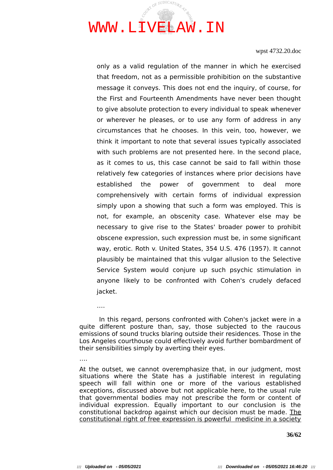

only as a valid regulation of the manner in which he exercised that freedom, not as a permissible prohibition on the substantive message it conveys. This does not end the inquiry, of course, for the First and Fourteenth Amendments have never been thought to give absolute protection to every individual to speak whenever or wherever he pleases, or to use any form of address in any circumstances that he chooses. In this vein, too, however, we think it important to note that several issues typically associated with such problems are not presented here. In the second place, as it comes to us, this case cannot be said to fall within those relatively few categories of instances where prior decisions have established the power of government to deal more comprehensively with certain forms of individual expression simply upon a showing that such a form was employed. This is not, for example, an obscenity case. Whatever else may be necessary to give rise to the States' broader power to prohibit obscene expression, such expression must be, in some signifcant way, erotic. Roth v. United States, 354 U.S. 476 (1957). It cannot plausibly be maintained that this vulgar allusion to the Selective Service System would conjure up such psychic stimulation in anyone likely to be confronted with Cohen's crudely defaced jacket.

In this regard, persons confronted with Cohen's jacket were in a quite diferent posture than, say, those subjected to the raucous emissions of sound trucks blaring outside their residences. Those in the Los Angeles courthouse could efectively avoid further bombardment of their sensibilities simply by averting their eyes.

At the outset, we cannot overemphasize that, in our judgment, most situations where the State has a justifable interest in regulating speech will fall within one or more of the various established exceptions, discussed above but not applicable here, to the usual rule that governmental bodies may not prescribe the form or content of individual expression. Equally important to our conclusion is the constitutional backdrop against which our decision must be made. The constitutional right of free expression is powerful medicine in a society

**36/62**

….

….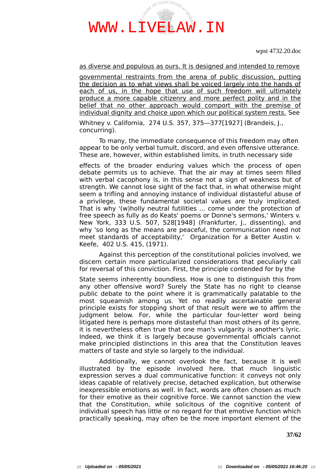as diverse and populous as ours. It is designed and intended to remove

WWW.LIVELAW.IN

COURT OF JUDICATURE 47

governmental restraints from the arena of public discussion, putting the decision as to what views shall be voiced largely into the hands of each of us, in the hope that use of such freedom will ultimately produce a more capable citizenry and more perfect polity and in the belief that no other approach would comport with the premise of individual dignity and choice upon which our political system rests. See

Whitney v. California, 274 U.S. 357, 375—377[1927] (Brandeis, J., concurring).

To many, the immediate consequence of this freedom may often appear to be only verbal tumult, discord, and even ofensive utterance. These are, however, within established limits, in truth necessary side

efects of the broader enduring values which the process of open debate permits us to achieve. That the air may at times seem flled with verbal cacophony is, in this sense not a sign of weakness but of strength. We cannot lose sight of the fact that, in what otherwise might seem a trifing and annoying instance of individual distasteful abuse of a privilege, these fundamental societal values are truly implicated. That is why '(w)holly neutral futilities ... come under the protection of free speech as fully as do Keats' poems or Donne's sermons,' Winters v. New York, 333 U.S. 507, 528[1948] (Frankfurter, J., dissenting), and why 'so long as the means are peaceful, the communication need not meet standards of acceptability,' Organization for a Better Austin v. Keefe, 402 U.S. 415, (1971).

Against this perception of the constitutional policies involved, we discern certain more particularized considerations that peculiarly call for reversal of this conviction. First, the principle contended for by the

State seems inherently boundless. How is one to distinguish this from any other ofensive word? Surely the State has no right to cleanse public debate to the point where it is grammatically palatable to the most squeamish among us. Yet no readily ascertainable general principle exists for stopping short of that result were we to affirm the judgment below. For, while the particular four-letter word being litigated here is perhaps more distasteful than most others of its genre, it is nevertheless often true that one man's vulgarity is another's lyric. Indeed, we think it is largely because governmental officials cannot make principled distinctions in this area that the Constitution leaves matters of taste and style so largely to the individual.

Additionally, we cannot overlook the fact, because it is well illustrated by the episode involved here, that much linguistic expression serves a dual communicative function: it conveys not only ideas capable of relatively precise, detached explication, but otherwise inexpressible emotions as well. In fact, words are often chosen as much for their emotive as their cognitive force. We cannot sanction the view that the Constitution, while solicitous of the cognitive content of individual speech has little or no regard for that emotive function which practically speaking, may often be the more important element of the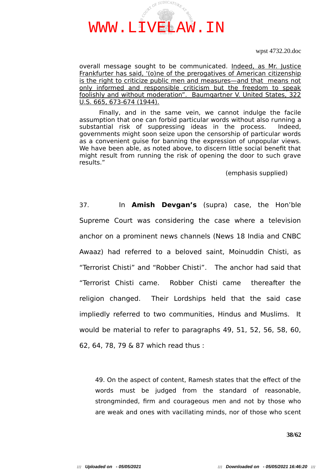

overall message sought to be communicated. Indeed, as Mr. Justice Frankfurter has said, '(o)ne of the prerogatives of American citizenship is the right to criticize public men and measures—and that means not only informed and responsible criticism but the freedom to speak foolishly and without moderation". Baumgartner V. United States, 322 U.S. 665, 673-674 (1944).

Finally, and in the same vein, we cannot indulge the facile assumption that one can forbid particular words without also running a substantial risk of suppressing ideas in the process. Indeed, governments might soon seize upon the censorship of particular words as a convenient guise for banning the expression of unpopular views. We have been able, as noted above, to discern little social beneft that might result from running the risk of opening the door to such grave results."

(emphasis supplied)

37. In **Amish Devgan's** (supra) case, the Hon'ble Supreme Court was considering the case where a television anchor on a prominent news channels (News 18 India and CNBC Awaaz) had referred to a beloved saint, Moinuddin Chisti, as "Terrorist Chisti" and "Robber Chisti". The anchor had said that "Terrorist Chisti came. Robber Chisti came thereafter the religion changed. Their Lordships held that the said case impliedly referred to two communities, Hindus and Muslims. It would be material to refer to paragraphs 49, 51, 52, 56, 58, 60, 62, 64, 78, 79 & 87 which read thus :

49. On the aspect of content, Ramesh states that the efect of the words must be judged from the standard of reasonable, strongminded, frm and courageous men and not by those who are weak and ones with vacillating minds, nor of those who scent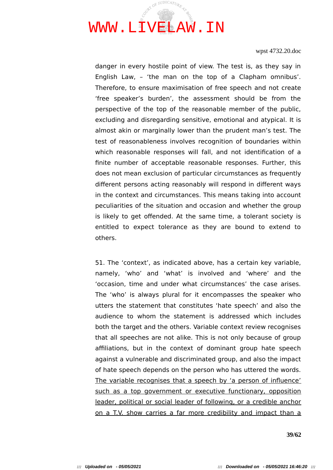# OF JUDICATUR WWW.LIVELAW.IN

### wpst 4732.20.doc

danger in every hostile point of view. The test is, as they say in English Law, – 'the man on the top of a Clapham omnibus'. Therefore, to ensure maximisation of free speech and not create 'free speaker's burden', the assessment should be from the perspective of the top of the reasonable member of the public, excluding and disregarding sensitive, emotional and atypical. It is almost akin or marginally lower than the prudent man's test. The test of reasonableness involves recognition of boundaries within which reasonable responses will fall, and not identifcation of a fnite number of acceptable reasonable responses. Further, this does not mean exclusion of particular circumstances as frequently diferent persons acting reasonably will respond in diferent ways in the context and circumstances. This means taking into account peculiarities of the situation and occasion and whether the group is likely to get offended. At the same time, a tolerant society is entitled to expect tolerance as they are bound to extend to others.

51. The 'context', as indicated above, has a certain key variable, namely, 'who' and 'what' is involved and 'where' and the 'occasion, time and under what circumstances' the case arises. The 'who' is always plural for it encompasses the speaker who utters the statement that constitutes 'hate speech' and also the audience to whom the statement is addressed which includes both the target and the others. Variable context review recognises that all speeches are not alike. This is not only because of group affiliations, but in the context of dominant group hate speech against a vulnerable and discriminated group, and also the impact of hate speech depends on the person who has uttered the words. The variable recognises that a speech by 'a person of infuence' such as a top government or executive functionary, opposition leader, political or social leader of following, or a credible anchor on a T.V. show carries a far more credibility and impact than a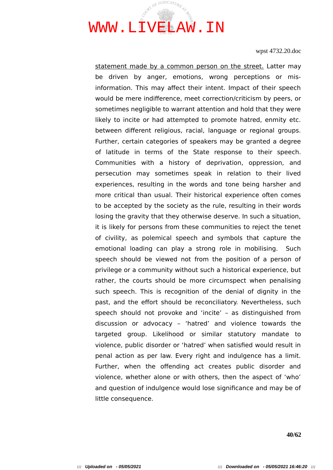

statement made by a common person on the street. Latter may be driven by anger, emotions, wrong perceptions or misinformation. This may affect their intent. Impact of their speech would be mere indiference, meet correction/criticism by peers, or sometimes negligible to warrant attention and hold that they were likely to incite or had attempted to promote hatred, enmity etc. between diferent religious, racial, language or regional groups. Further, certain categories of speakers may be granted a degree of latitude in terms of the State response to their speech. Communities with a history of deprivation, oppression, and persecution may sometimes speak in relation to their lived experiences, resulting in the words and tone being harsher and more critical than usual. Their historical experience often comes to be accepted by the society as the rule, resulting in their words losing the gravity that they otherwise deserve. In such a situation, it is likely for persons from these communities to reject the tenet of civility, as polemical speech and symbols that capture the emotional loading can play a strong role in mobilising. Such speech should be viewed not from the position of a person of privilege or a community without such a historical experience, but rather, the courts should be more circumspect when penalising such speech. This is recognition of the denial of dignity in the past, and the effort should be reconciliatory. Nevertheless, such speech should not provoke and 'incite' – as distinguished from discussion or advocacy – 'hatred' and violence towards the targeted group. Likelihood or similar statutory mandate to violence, public disorder or 'hatred' when satisfed would result in penal action as per law. Every right and indulgence has a limit. Further, when the offending act creates public disorder and violence, whether alone or with others, then the aspect of 'who' and question of indulgence would lose signifcance and may be of little consequence.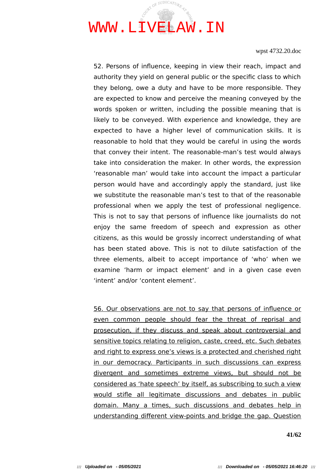

52. Persons of infuence, keeping in view their reach, impact and authority they yield on general public or the specific class to which they belong, owe a duty and have to be more responsible. They are expected to know and perceive the meaning conveyed by the words spoken or written, including the possible meaning that is likely to be conveyed. With experience and knowledge, they are expected to have a higher level of communication skills. It is reasonable to hold that they would be careful in using the words that convey their intent. The reasonable-man's test would always take into consideration the maker. In other words, the expression 'reasonable man' would take into account the impact a particular person would have and accordingly apply the standard, just like we substitute the reasonable man's test to that of the reasonable professional when we apply the test of professional negligence. This is not to say that persons of infuence like journalists do not enjoy the same freedom of speech and expression as other citizens, as this would be grossly incorrect understanding of what has been stated above. This is not to dilute satisfaction of the three elements, albeit to accept importance of 'who' when we examine 'harm or impact element' and in a given case even 'intent' and/or 'content element'.

56. Our observations are not to say that persons of infuence or even common people should fear the threat of reprisal and prosecution, if they discuss and speak about controversial and sensitive topics relating to religion, caste, creed, etc. Such debates and right to express one's views is a protected and cherished right in our democracy. Participants in such discussions can express divergent and sometimes extreme views, but should not be considered as 'hate speech' by itself, as subscribing to such a view would stife all legitimate discussions and debates in public domain. Many a times, such discussions and debates help in understanding diferent view-points and bridge the gap. Question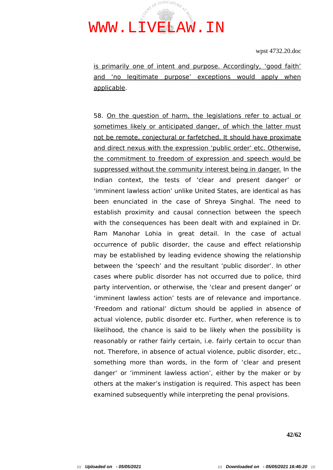

is primarily one of intent and purpose. Accordingly, 'good faith' and 'no legitimate purpose' exceptions would apply when applicable.

58. On the question of harm, the legislations refer to actual or sometimes likely or anticipated danger, of which the latter must not be remote, conjectural or farfetched. It should have proximate and direct nexus with the expression 'public order' etc. Otherwise, the commitment to freedom of expression and speech would be suppressed without the community interest being in danger. In the Indian context, the tests of 'clear and present danger' or 'imminent lawless action' unlike United States, are identical as has been enunciated in the case of Shreya Singhal. The need to establish proximity and causal connection between the speech with the consequences has been dealt with and explained in Dr. Ram Manohar Lohia in great detail. In the case of actual occurrence of public disorder, the cause and efect relationship may be established by leading evidence showing the relationship between the 'speech' and the resultant 'public disorder'. In other cases where public disorder has not occurred due to police, third party intervention, or otherwise, the 'clear and present danger' or 'imminent lawless action' tests are of relevance and importance. 'Freedom and rational' dictum should be applied in absence of actual violence, public disorder etc. Further, when reference is to likelihood, the chance is said to be likely when the possibility is reasonably or rather fairly certain, i.e. fairly certain to occur than not. Therefore, in absence of actual violence, public disorder, etc., something more than words, in the form of 'clear and present danger' or 'imminent lawless action', either by the maker or by others at the maker's instigation is required. This aspect has been examined subsequently while interpreting the penal provisions.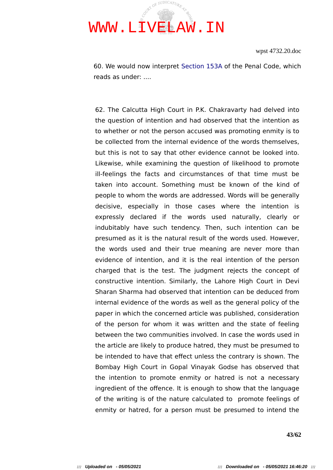

60. We would now interpret Section 153A of the Penal Code, which reads as under: ....

62. The Calcutta High Court in P.K. Chakravarty had delved into the question of intention and had observed that the intention as to whether or not the person accused was promoting enmity is to be collected from the internal evidence of the words themselves, but this is not to say that other evidence cannot be looked into. Likewise, while examining the question of likelihood to promote ill-feelings the facts and circumstances of that time must be taken into account. Something must be known of the kind of people to whom the words are addressed. Words will be generally decisive, especially in those cases where the intention is expressly declared if the words used naturally, clearly or indubitably have such tendency. Then, such intention can be presumed as it is the natural result of the words used. However, the words used and their true meaning are never more than evidence of intention, and it is the real intention of the person charged that is the test. The judgment rejects the concept of constructive intention. Similarly, the Lahore High Court in Devi Sharan Sharma had observed that intention can be deduced from internal evidence of the words as well as the general policy of the paper in which the concerned article was published, consideration of the person for whom it was written and the state of feeling between the two communities involved. In case the words used in the article are likely to produce hatred, they must be presumed to be intended to have that efect unless the contrary is shown. The Bombay High Court in Gopal Vinayak Godse has observed that the intention to promote enmity or hatred is not a necessary ingredient of the offence. It is enough to show that the language of the writing is of the nature calculated to promote feelings of enmity or hatred, for a person must be presumed to intend the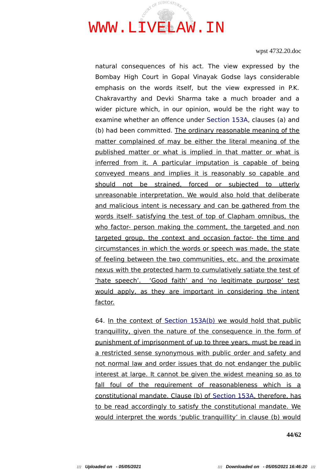

natural consequences of his act. The view expressed by the Bombay High Court in Gopal Vinayak Godse lays considerable emphasis on the words itself, but the view expressed in P.K. Chakravarthy and Devki Sharma take a much broader and a wider picture which, in our opinion, would be the right way to examine whether an offence under Section 153A, clauses (a) and (b) had been committed. The ordinary reasonable meaning of the matter complained of may be either the literal meaning of the published matter or what is implied in that matter or what is inferred from it. A particular imputation is capable of being conveyed means and implies it is reasonably so capable and should not be strained, forced or subjected to utterly unreasonable interpretation. We would also hold that deliberate and malicious intent is necessary and can be gathered from the words itself- satisfying the test of top of Clapham omnibus, the who factor- person making the comment, the targeted and non targeted group, the context and occasion factor- the time and circumstances in which the words or speech was made, the state of feeling between the two communities, etc. and the proximate nexus with the protected harm to cumulatively satiate the test of 'hate speech'. 'Good faith' and 'no legitimate purpose' test would apply, as they are important in considering the intent factor.

64. In the context of Section 153A(b) we would hold that public tranquillity, given the nature of the consequence in the form of punishment of imprisonment of up to three years, must be read in a restricted sense synonymous with public order and safety and not normal law and order issues that do not endanger the public interest at large. It cannot be given the widest meaning so as to fall foul of the requirement of reasonableness which is a constitutional mandate. Clause (b) of Section 153A , therefore, has to be read accordingly to satisfy the constitutional mandate. We would interpret the words 'public tranquillity' in clause (b) would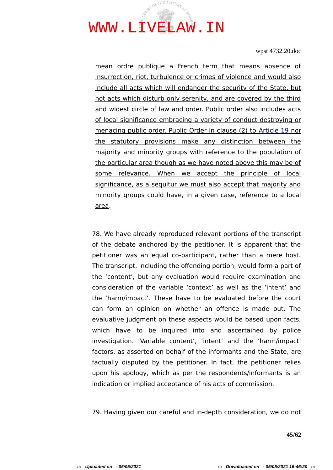

mean ordre publique a French term that means absence of insurrection, riot, turbulence or crimes of violence and would also include all acts which will endanger the security of the State, but not acts which disturb only serenity, and are covered by the third and widest circle of law and order. Public order also includes acts of local signifcance embracing a variety of conduct destroying or menacing public order. Public Order in clause (2) to Article 19 nor the statutory provisions make any distinction between the majority and minority groups with reference to the population of the particular area though as we have noted above this may be of some relevance. When we accept the principle of local signifcance, as a sequitur we must also accept that majority and minority groups could have, in a given case, reference to a local area.

78. We have already reproduced relevant portions of the transcript of the debate anchored by the petitioner. It is apparent that the petitioner was an equal co-participant, rather than a mere host. The transcript, including the offending portion, would form a part of the 'content', but any evaluation would require examination and consideration of the variable 'context' as well as the 'intent' and the 'harm/impact'. These have to be evaluated before the court can form an opinion on whether an offence is made out. The evaluative judgment on these aspects would be based upon facts, which have to be inquired into and ascertained by police investigation. 'Variable content', 'intent' and the 'harm/impact' factors, as asserted on behalf of the informants and the State, are factually disputed by the petitioner. In fact, the petitioner relies upon his apology, which as per the respondents/informants is an indication or implied acceptance of his acts of commission.

79. Having given our careful and in-depth consideration, we do not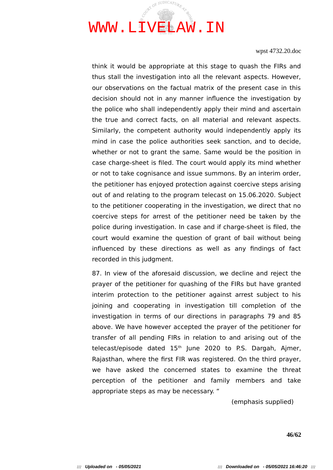

think it would be appropriate at this stage to quash the FIRs and thus stall the investigation into all the relevant aspects. However, our observations on the factual matrix of the present case in this decision should not in any manner infuence the investigation by the police who shall independently apply their mind and ascertain the true and correct facts, on all material and relevant aspects. Similarly, the competent authority would independently apply its mind in case the police authorities seek sanction, and to decide, whether or not to grant the same. Same would be the position in case charge-sheet is fled. The court would apply its mind whether or not to take cognisance and issue summons. By an interim order, the petitioner has enjoyed protection against coercive steps arising out of and relating to the program telecast on 15.06.2020. Subject to the petitioner cooperating in the investigation, we direct that no coercive steps for arrest of the petitioner need be taken by the police during investigation. In case and if charge-sheet is fled, the court would examine the question of grant of bail without being infuenced by these directions as well as any fndings of fact recorded in this judgment.

87. In view of the aforesaid discussion, we decline and reject the prayer of the petitioner for quashing of the FIRs but have granted interim protection to the petitioner against arrest subject to his joining and cooperating in investigation till completion of the investigation in terms of our directions in paragraphs 79 and 85 above. We have however accepted the prayer of the petitioner for transfer of all pending FIRs in relation to and arising out of the telecast/episode dated  $15<sup>th</sup>$  June 2020 to P.S. Dargah, Ajmer, Rajasthan, where the frst FIR was registered. On the third prayer, we have asked the concerned states to examine the threat perception of the petitioner and family members and take appropriate steps as may be necessary. "

(emphasis supplied)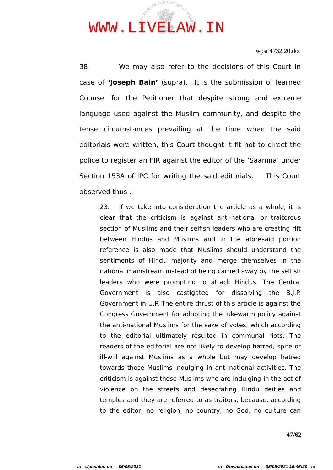

38. We may also refer to the decisions of this Court in case of **'Joseph Bain'** (supra). It is the submission of learned Counsel for the Petitioner that despite strong and extreme language used against the Muslim community, and despite the tense circumstances prevailing at the time when the said editorials were written, this Court thought it fit not to direct the police to register an FIR against the editor of the 'Saamna' under Section 153A of IPC for writing the said editorials. This Court observed thus :

23. If we take into consideration the article as a whole, it is clear that the criticism is against anti-national or traitorous section of Muslims and their selfish leaders who are creating rift between Hindus and Muslims and in the aforesaid portion reference is also made that Muslims should understand the sentiments of Hindu majority and merge themselves in the national mainstream instead of being carried away by the selfsh leaders who were prompting to attack Hindus. The Central Government is also castigated for dissolving the B.J.P. Government in U.P. The entire thrust of this article is against the Congress Government for adopting the lukewarm policy against the anti-national Muslims for the sake of votes, which according to the editorial ultimately resulted in communal riots. The readers of the editorial are not likely to develop hatred, spite or ill-will against Muslims as a whole but may develop hatred towards those Muslims indulging in anti-national activities. The criticism is against those Muslims who are indulging in the act of violence on the streets and desecrating Hindu deities and temples and they are referred to as traitors, because, according to the editor, no religion, no country, no God, no culture can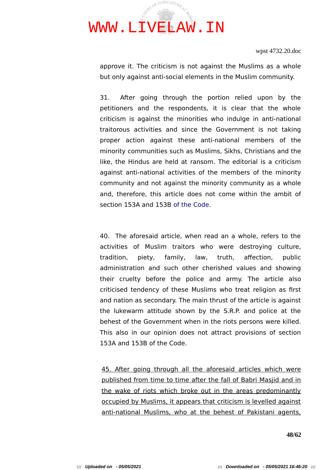

approve it. The criticism is not against the Muslims as a whole but only against anti-social elements in the Muslim community.

31. After going through the portion relied upon by the petitioners and the respondents, it is clear that the whole criticism is against the minorities who indulge in anti-national traitorous activities and since the Government is not taking proper action against these anti-national members of the minority communities such as Muslims, Sikhs, Christians and the like, the Hindus are held at ransom. The editorial is a criticism against anti-national activities of the members of the minority community and not against the minority community as a whole and, therefore, this article does not come within the ambit of section 153A and 153B of the Code.

40. The aforesaid article, when read an a whole, refers to the activities of Muslim traitors who were destroying culture, tradition, piety, family, law, truth, afection, public administration and such other cherished values and showing their cruelty before the police and army. The article also criticised tendency of these Muslims who treat religion as frst and nation as secondary. The main thrust of the article is against the lukewarm attitude shown by the S.R.P. and police at the behest of the Government when in the riots persons were killed. This also in our opinion does not attract provisions of section 153A and 153B of the Code.

45. After going through all the aforesaid articles which were published from time to time after the fall of Babri Masjid and in the wake of riots which broke out in the areas predominantly occupied by Muslims, it appears that criticism is levelled against anti-national Muslims, who at the behest of Pakistani agents,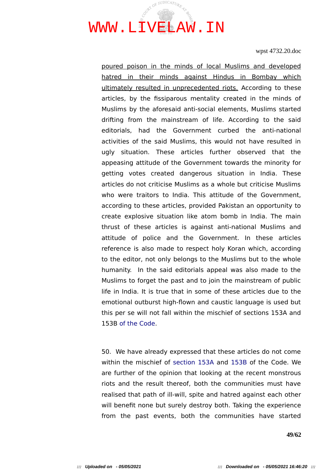

poured poison in the minds of local Muslims and developed hatred in their minds against Hindus in Bombay which ultimately resulted in unprecedented riots. According to these articles, by the fssiparous mentality created in the minds of Muslims by the aforesaid anti-social elements, Muslims started drifting from the mainstream of life. According to the said editorials, had the Government curbed the anti-national activities of the said Muslims, this would not have resulted in ugly situation. These articles further observed that the appeasing attitude of the Government towards the minority for getting votes created dangerous situation in India. These articles do not criticise Muslims as a whole but criticise Muslims who were traitors to India. This attitude of the Government, according to these articles, provided Pakistan an opportunity to create explosive situation like atom bomb in India. The main thrust of these articles is against anti-national Muslims and attitude of police and the Government. In these articles reference is also made to respect holy Koran which, according to the editor, not only belongs to the Muslims but to the whole humanity. In the said editorials appeal was also made to the Muslims to forget the past and to join the mainstream of public life in India. It is true that in some of these articles due to the emotional outburst high-fown and caustic language is used but this per se will not fall within the mischief of sections 153A and 153B of the Code.

50. We have already expressed that these articles do not come within the mischief of section 153A and 153B of the Code. We are further of the opinion that looking at the recent monstrous riots and the result thereof, both the communities must have realised that path of ill-will, spite and hatred against each other will benefit none but surely destroy both. Taking the experience from the past events, both the communities have started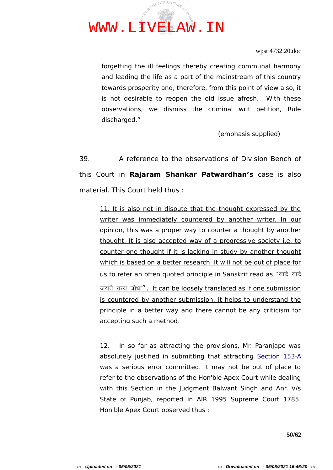

forgetting the ill feelings thereby creating communal harmony and leading the life as a part of the mainstream of this country towards prosperity and, therefore, from this point of view also, it is not desirable to reopen the old issue afresh. With these observations, we dismiss the criminal writ petition, Rule discharged."

(emphasis supplied)

39. A reference to the observations of Division Bench of this Court in **Rajaram Shankar Patwardhan's** case is also material. This Court held thus :

11. It is also not in dispute that the thought expressed by the writer was immediately countered by another writer. In our opinion, this was a proper way to counter a thought by another thought. It is also accepted way of a progressive society i.e. to counter one thought if it is lacking in study by another thought which is based on a better research. It will not be out of place for us to refer an often quoted principle in Sanskrit read as " *and* and <u>जयते तत्व बोधा". It can be loosely translated as if one submission</u> is countered by another submission, it helps to understand the principle in a better way and there cannot be any criticism for accepting such a method.

12. In so far as attracting the provisions, Mr. Paranjape was absolutely justifed in submitting that attracting Section 153-A was a serious error committed. It may not be out of place to refer to the observations of the Hon'ble Apex Court while dealing with this Section in the Judgment Balwant Singh and Anr. V/s State of Punjab, reported in AIR 1995 Supreme Court 1785. Hon'ble Apex Court observed thus :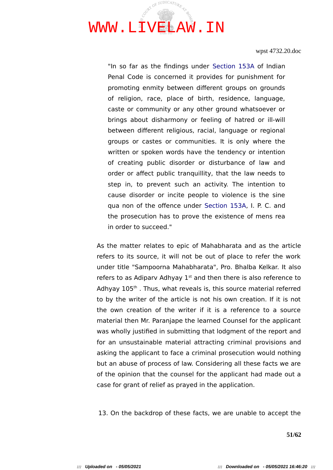

"In so far as the fndings under Section 153A of Indian Penal Code is concerned it provides for punishment for promoting enmity between diferent groups on grounds of religion, race, place of birth, residence, language, caste or community or any other ground whatsoever or brings about disharmony or feeling of hatred or ill-will between diferent religious, racial, language or regional groups or castes or communities. It is only where the written or spoken words have the tendency or intention of creating public disorder or disturbance of law and order or afect public tranquillity, that the law needs to step in, to prevent such an activity. The intention to cause disorder or incite people to violence is the sine qua non of the offence under Section 153A, I. P. C. and the prosecution has to prove the existence of mens rea in order to succeed."

As the matter relates to epic of Mahabharata and as the article refers to its source, it will not be out of place to refer the work under title "Sampoorna Mahabharata", Pro. Bhalba Kelkar. It also refers to as Adipary Adhyay  $1<sup>st</sup>$  and then there is also reference to Adhyay  $105<sup>th</sup>$ . Thus, what reveals is, this source material referred to by the writer of the article is not his own creation. If it is not the own creation of the writer if it is a reference to a source material then Mr. Paranjape the learned Counsel for the applicant was wholly justifed in submitting that lodgment of the report and for an unsustainable material attracting criminal provisions and asking the applicant to face a criminal prosecution would nothing but an abuse of process of law. Considering all these facts we are of the opinion that the counsel for the applicant had made out a case for grant of relief as prayed in the application.

13. On the backdrop of these facts, we are unable to accept the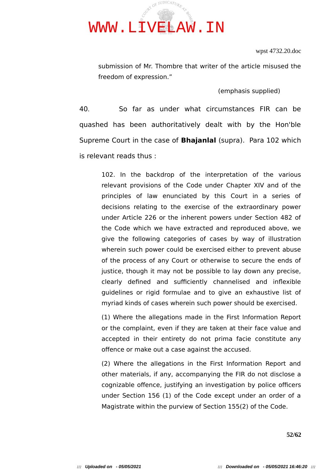

submission of Mr. Thombre that writer of the article misused the freedom of expression."

### (emphasis supplied)

40. So far as under what circumstances FIR can be quashed has been authoritatively dealt with by the Hon'ble Supreme Court in the case of **Bhajanlal** (supra). Para 102 which is relevant reads thus :

102. In the backdrop of the interpretation of the various relevant provisions of the Code under Chapter XIV and of the principles of law enunciated by this Court in a series of decisions relating to the exercise of the extraordinary power under Article 226 or the inherent powers under Section 482 of the Code which we have extracted and reproduced above, we give the following categories of cases by way of illustration wherein such power could be exercised either to prevent abuse of the process of any Court or otherwise to secure the ends of justice, though it may not be possible to lay down any precise, clearly defined and sufficiently channelised and inflexible guidelines or rigid formulae and to give an exhaustive list of myriad kinds of cases wherein such power should be exercised.

(1) Where the allegations made in the First Information Report or the complaint, even if they are taken at their face value and accepted in their entirety do not prima facie constitute any ofence or make out a case against the accused.

(2) Where the allegations in the First Information Report and other materials, if any, accompanying the FIR do not disclose a cognizable offence, justifying an investigation by police officers under Section 156 (1) of the Code except under an order of a Magistrate within the purview of Section 155(2) of the Code.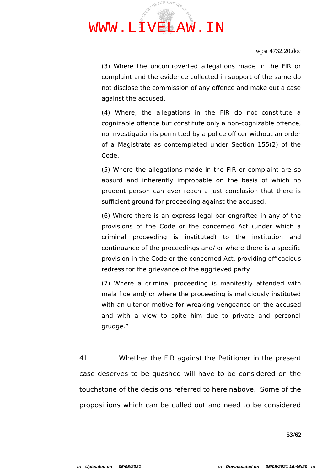

(3) Where the uncontroverted allegations made in the FIR or complaint and the evidence collected in support of the same do not disclose the commission of any offence and make out a case against the accused.

(4) Where, the allegations in the FIR do not constitute a cognizable offence but constitute only a non-cognizable offence, no investigation is permitted by a police officer without an order of a Magistrate as contemplated under Section 155(2) of the Code.

(5) Where the allegations made in the FIR or complaint are so absurd and inherently improbable on the basis of which no prudent person can ever reach a just conclusion that there is sufficient ground for proceeding against the accused.

(6) Where there is an express legal bar engrafted in any of the provisions of the Code or the concerned Act (under which a criminal proceeding is instituted) to the institution and continuance of the proceedings and/ or where there is a specifc provision in the Code or the concerned Act, providing efficacious redress for the grievance of the aggrieved party.

(7) Where a criminal proceeding is manifestly attended with mala fde and/ or where the proceeding is maliciously instituted with an ulterior motive for wreaking vengeance on the accused and with a view to spite him due to private and personal grudge."

41. Whether the FIR against the Petitioner in the present case deserves to be quashed will have to be considered on the touchstone of the decisions referred to hereinabove. Some of the propositions which can be culled out and need to be considered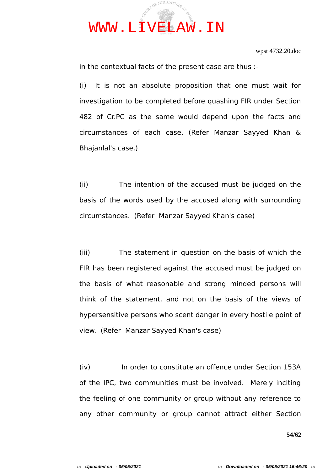

in the contextual facts of the present case are thus :-

(i) It is not an absolute proposition that one must wait for investigation to be completed before quashing FIR under Section 482 of Cr.PC as the same would depend upon the facts and circumstances of each case. (Refer Manzar Sayyed Khan & Bhajanlal's case.)

(ii) The intention of the accused must be judged on the basis of the words used by the accused along with surrounding circumstances. (Refer Manzar Sayyed Khan's case)

(iii) The statement in question on the basis of which the FIR has been registered against the accused must be judged on the basis of what reasonable and strong minded persons will think of the statement, and not on the basis of the views of hypersensitive persons who scent danger in every hostile point of view. (Refer Manzar Sayyed Khan's case)

(iv) In order to constitute an offence under Section 153A of the IPC, two communities must be involved. Merely inciting the feeling of one community or group without any reference to any other community or group cannot attract either Section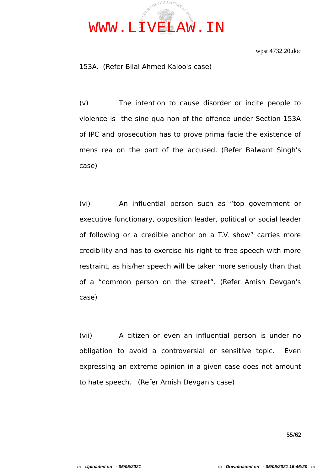

# 153A. (Refer Bilal Ahmed Kaloo's case)

(v) The intention to cause disorder or incite people to violence is the sine qua non of the offence under Section 153A of IPC and prosecution has to prove prima facie the existence of mens rea on the part of the accused. (Refer Balwant Singh's case)

(vi) An infuential person such as "top government or executive functionary, opposition leader, political or social leader of following or a credible anchor on a T.V. show" carries more credibility and has to exercise his right to free speech with more restraint, as his/her speech will be taken more seriously than that of a "common person on the street". (Refer Amish Devgan's case)

(vii) A citizen or even an infuential person is under no obligation to avoid a controversial or sensitive topic. Even expressing an extreme opinion in a given case does not amount to hate speech. (Refer Amish Devgan's case)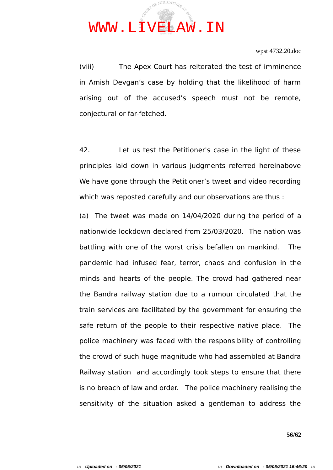

(viii) The Apex Court has reiterated the test of imminence in Amish Devgan's case by holding that the likelihood of harm arising out of the accused's speech must not be remote, conjectural or far-fetched.

42. Let us test the Petitioner's case in the light of these principles laid down in various judgments referred hereinabove We have gone through the Petitioner's tweet and video recording which was reposted carefully and our observations are thus :

(a) The tweet was made on 14/04/2020 during the period of a nationwide lockdown declared from 25/03/2020. The nation was battling with one of the worst crisis befallen on mankind. The pandemic had infused fear, terror, chaos and confusion in the minds and hearts of the people. The crowd had gathered near the Bandra railway station due to a rumour circulated that the train services are facilitated by the government for ensuring the safe return of the people to their respective native place. The police machinery was faced with the responsibility of controlling the crowd of such huge magnitude who had assembled at Bandra Railway station and accordingly took steps to ensure that there is no breach of law and order. The police machinery realising the sensitivity of the situation asked a gentleman to address the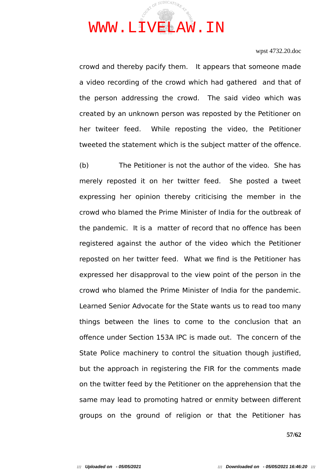

crowd and thereby pacify them. It appears that someone made a video recording of the crowd which had gathered and that of the person addressing the crowd. The said video which was created by an unknown person was reposted by the Petitioner on her twiteer feed. While reposting the video, the Petitioner tweeted the statement which is the subject matter of the ofence.

(b) The Petitioner is not the author of the video. She has merely reposted it on her twitter feed. She posted a tweet expressing her opinion thereby criticising the member in the crowd who blamed the Prime Minister of India for the outbreak of the pandemic. It is a matter of record that no ofence has been registered against the author of the video which the Petitioner reposted on her twitter feed. What we fnd is the Petitioner has expressed her disapproval to the view point of the person in the crowd who blamed the Prime Minister of India for the pandemic. Learned Senior Advocate for the State wants us to read too many things between the lines to come to the conclusion that an ofence under Section 153A IPC is made out. The concern of the State Police machinery to control the situation though justifed, but the approach in registering the FIR for the comments made on the twitter feed by the Petitioner on the apprehension that the same may lead to promoting hatred or enmity between diferent groups on the ground of religion or that the Petitioner has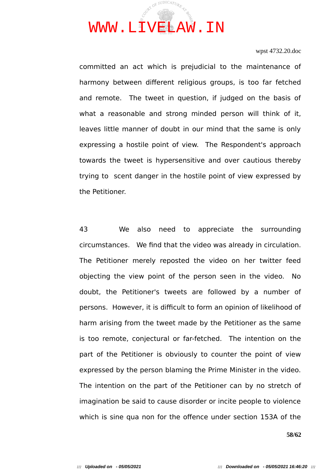

committed an act which is prejudicial to the maintenance of harmony between diferent religious groups, is too far fetched and remote. The tweet in question, if judged on the basis of what a reasonable and strong minded person will think of it, leaves little manner of doubt in our mind that the same is only expressing a hostile point of view. The Respondent's approach towards the tweet is hypersensitive and over cautious thereby trying to scent danger in the hostile point of view expressed by the Petitioner.

43 We also need to appreciate the surrounding circumstances. We fnd that the video was already in circulation. The Petitioner merely reposted the video on her twitter feed objecting the view point of the person seen in the video. No doubt, the Petitioner's tweets are followed by a number of persons. However, it is difficult to form an opinion of likelihood of harm arising from the tweet made by the Petitioner as the same is too remote, conjectural or far-fetched. The intention on the part of the Petitioner is obviously to counter the point of view expressed by the person blaming the Prime Minister in the video. The intention on the part of the Petitioner can by no stretch of imagination be said to cause disorder or incite people to violence which is sine qua non for the offence under section 153A of the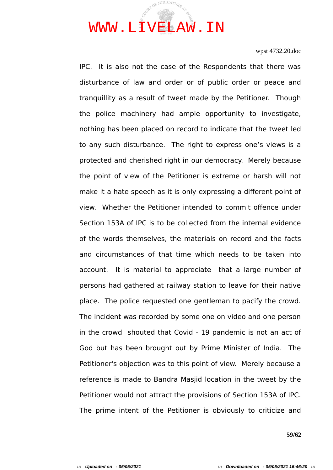

IPC. It is also not the case of the Respondents that there was disturbance of law and order or of public order or peace and tranquillity as a result of tweet made by the Petitioner. Though the police machinery had ample opportunity to investigate, nothing has been placed on record to indicate that the tweet led to any such disturbance. The right to express one's views is a protected and cherished right in our democracy. Merely because the point of view of the Petitioner is extreme or harsh will not make it a hate speech as it is only expressing a diferent point of view. Whether the Petitioner intended to commit ofence under Section 153A of IPC is to be collected from the internal evidence of the words themselves, the materials on record and the facts and circumstances of that time which needs to be taken into account. It is material to appreciate that a large number of persons had gathered at railway station to leave for their native place. The police requested one gentleman to pacify the crowd. The incident was recorded by some one on video and one person in the crowd shouted that Covid - 19 pandemic is not an act of God but has been brought out by Prime Minister of India. The Petitioner's objection was to this point of view. Merely because a reference is made to Bandra Masjid location in the tweet by the Petitioner would not attract the provisions of Section 153A of IPC. The prime intent of the Petitioner is obviously to criticize and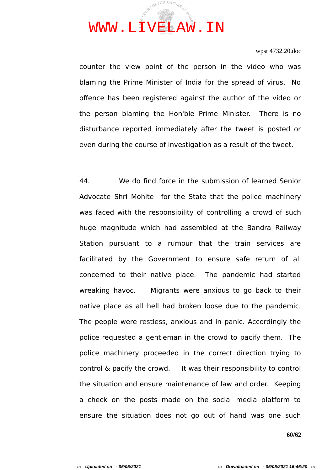

counter the view point of the person in the video who was blaming the Prime Minister of India for the spread of virus. No ofence has been registered against the author of the video or the person blaming the Hon'ble Prime Minister. There is no disturbance reported immediately after the tweet is posted or even during the course of investigation as a result of the tweet.

44. We do fnd force in the submission of learned Senior Advocate Shri Mohite for the State that the police machinery was faced with the responsibility of controlling a crowd of such huge magnitude which had assembled at the Bandra Railway Station pursuant to a rumour that the train services are facilitated by the Government to ensure safe return of all concerned to their native place. The pandemic had started wreaking havoc. Migrants were anxious to go back to their native place as all hell had broken loose due to the pandemic. The people were restless, anxious and in panic. Accordingly the police requested a gentleman in the crowd to pacify them. The police machinery proceeded in the correct direction trying to control & pacify the crowd. It was their responsibility to control the situation and ensure maintenance of law and order. Keeping a check on the posts made on the social media platform to ensure the situation does not go out of hand was one such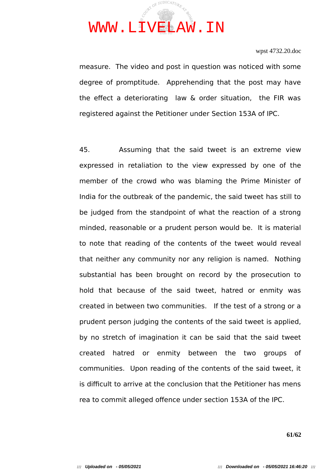

measure. The video and post in question was noticed with some degree of promptitude. Apprehending that the post may have the effect a deteriorating law & order situation, the FIR was registered against the Petitioner under Section 153A of IPC.

45. Assuming that the said tweet is an extreme view expressed in retaliation to the view expressed by one of the member of the crowd who was blaming the Prime Minister of India for the outbreak of the pandemic, the said tweet has still to be judged from the standpoint of what the reaction of a strong minded, reasonable or a prudent person would be. It is material to note that reading of the contents of the tweet would reveal that neither any community nor any religion is named. Nothing substantial has been brought on record by the prosecution to hold that because of the said tweet, hatred or enmity was created in between two communities. If the test of a strong or a prudent person judging the contents of the said tweet is applied, by no stretch of imagination it can be said that the said tweet created hatred or enmity between the two groups of communities. Upon reading of the contents of the said tweet, it is difcult to arrive at the conclusion that the Petitioner has mens rea to commit alleged offence under section 153A of the IPC.